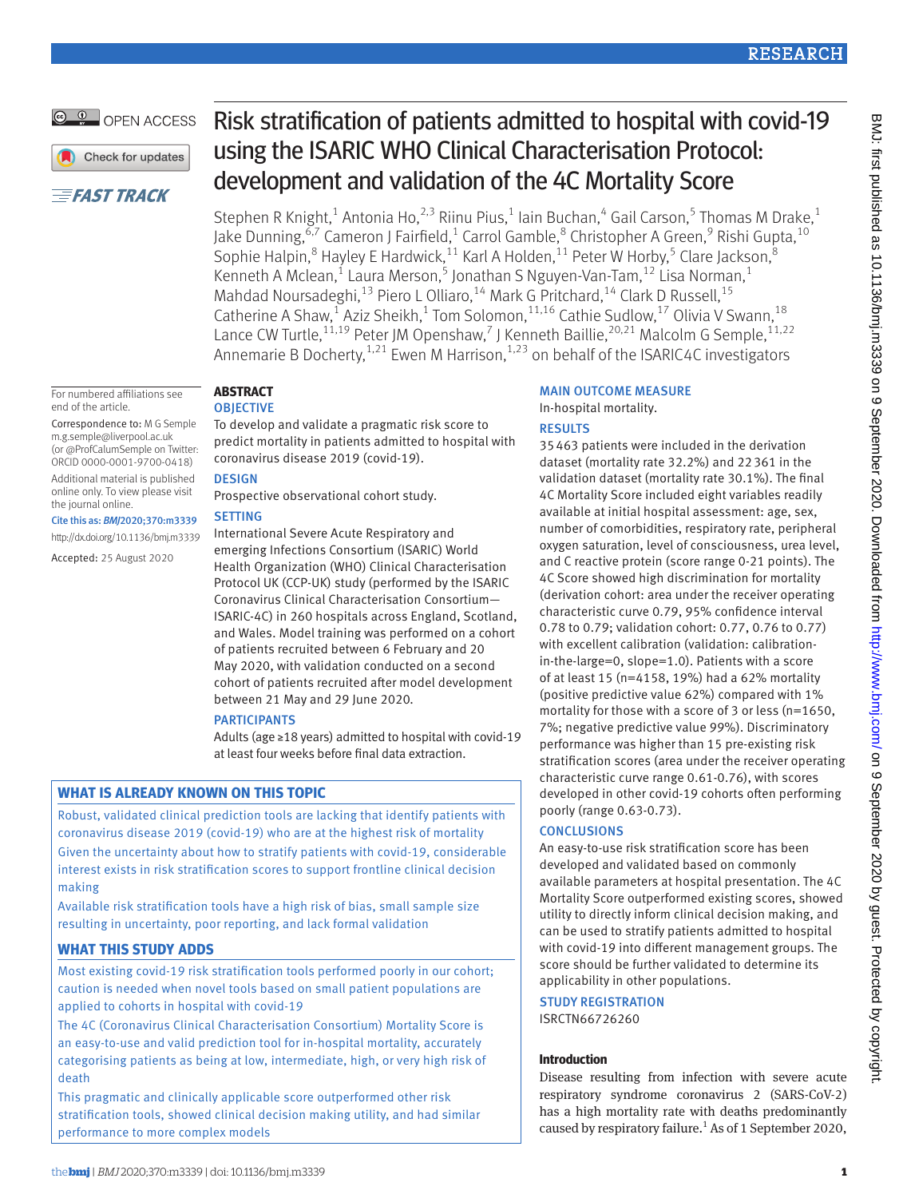# **RESEARCH**

# OPEN ACCESS

Check for updates

# **EFAST TRACK**

For numbered affiliations see

Correspondence to: M G Semple [m.g.semple@liverpool.ac.uk](mailto:m.g.semple@liverpool.ac.uk)  (or [@ProfCalumSemple](https://twitter.com/profcalumsemple) on Twitter: ORCID [0000-0001-9700-0418\)](http://orcid.org/0000-0001-9700-0418) Additional material is published online only. To view please visit

Cite this as: *BMJ*2020;370:m3339 http://dx.doi.org/10.1136/bmj.m3339 Accepted: 25 August 2020

end of the article.

the journal online.

# **Abstract**

## **OBJECTIVE**

To develop and validate a pragmatic risk score to predict mortality in patients admitted to hospital with coronavirus disease 2019 (covid-19).

## **DESIGN**

Prospective observational cohort study.

# **SETTING**

International Severe Acute Respiratory and emerging Infections Consortium (ISARIC) World Health Organization (WHO) Clinical Characterisation Protocol UK (CCP-UK) study (performed by the ISARIC Coronavirus Clinical Characterisation Consortium— ISARIC-4C) in 260 hospitals across England, Scotland, and Wales. Model training was performed on a cohort of patients recruited between 6 February and 20 May 2020, with validation conducted on a second cohort of patients recruited after model development between 21 May and 29 June 2020*.*

# **PARTICIPANTS**

Adults (age ≥18 years) admitted to hospital with covid-19 at least four weeks before final data extraction.

# **What is already known on this topic**

Robust, validated clinical prediction tools are lacking that identify patients with coronavirus disease 2019 (covid-19) who are at the highest risk of mortality Given the uncertainty about how to stratify patients with covid-19, considerable interest exists in risk stratification scores to support frontline clinical decision making

Available risk stratification tools have a high risk of bias, small sample size resulting in uncertainty, poor reporting, and lack formal validation

# **What this study adds**

Most existing covid-19 risk stratification tools performed poorly in our cohort; caution is needed when novel tools based on small patient populations are applied to cohorts in hospital with covid-19

The 4C (Coronavirus Clinical Characterisation Consortium) Mortality Score is an easy-to-use and valid prediction tool for in-hospital mortality, accurately categorising patients as being at low, intermediate, high, or very high risk of death

This pragmatic and clinically applicable score outperformed other risk stratification tools, showed clinical decision making utility, and had similar performance to more complex models

# Risk stratification of patients admitted to hospital with covid-19 using the ISARIC WHO Clinical Characterisation Protocol: development and validation of the 4C Mortality Score

Stephen R Knight,<sup>1</sup> Antonia Ho,<sup>2,3</sup> Riinu Pius,<sup>1</sup> Iain Buchan,<sup>4</sup> Gail Carson,<sup>5</sup> Thomas M Drake,<sup>1</sup> Jake Dunning,<sup>6,7</sup> Cameron J Fairfield,<sup>1</sup> Carrol Gamble,<sup>8</sup> Christopher A Green,<sup>9</sup> Rishi Gupta,<sup>10</sup> Sophie Halpin,  $8$  Hayley E Hardwick,  $11$  Karl A Holden,  $11$  Peter W Horby,  $5$  Clare Jackson,  $8$ Kenneth A Mclean,<sup>1</sup> Laura Merson,<sup>5</sup> Jonathan S Nguyen-Van-Tam,<sup>12</sup> Lisa Norman,<sup>1</sup> Mahdad Noursadeghi,<sup>13</sup> Piero L Olliaro,<sup>14</sup> Mark G Pritchard,<sup>14</sup> Clark D Russell,<sup>15</sup> Catherine A Shaw,<sup>1</sup> Aziz Sheikh,<sup>1</sup> Tom Solomon,<sup>11,16</sup> Cathie Sudlow,<sup>17</sup> Olivia V Swann,<sup>18</sup> Lance CW Turtle, <sup>11,19</sup> Peter JM Openshaw,<sup>7</sup> J Kenneth Baillie, <sup>20,21</sup> Malcolm G Semple, <sup>11,22</sup> Annemarie B Docherty,<sup>1,21</sup> Ewen M Harrison,<sup>1,23</sup> on behalf of the ISARIC4C investigators

#### Main outcome measure In-hospital mortality.

# **RESULTS**

35463 patients were included in the derivation dataset (mortality rate 32.2%) and 22361 in the validation dataset (mortality rate 30.1%). The final 4C Mortality Score included eight variables readily available at initial hospital assessment: age, sex, number of comorbidities, respiratory rate, peripheral oxygen saturation, level of consciousness, urea level, and C reactive protein (score range 0-21 points). The 4C Score showed high discrimination for mortality (derivation cohort: area under the receiver operating characteristic curve 0.79, 95% confidence interval 0.78 to 0.79; validation cohort: 0.77, 0.76 to 0.77) with excellent calibration (validation: calibrationin-the-large=0, slope=1.0). Patients with a score of at least 15 (n=4158, 19%) had a 62% mortality (positive predictive value 62%) compared with 1% mortality for those with a score of 3 or less (n=1650, 7%; negative predictive value 99%). Discriminatory performance was higher than 15 pre-existing risk stratification scores (area under the receiver operating characteristic curve range 0.61-0.76), with scores developed in other covid-19 cohorts often performing poorly (range 0.63-0.73).

# **CONCLUSIONS**

An easy-to-use risk stratification score has been developed and validated based on commonly available parameters at hospital presentation. The 4C Mortality Score outperformed existing scores, showed utility to directly inform clinical decision making, and can be used to stratify patients admitted to hospital with covid-19 into different management groups. The score should be further validated to determine its applicability in other populations.

STUDY REGISTRATION ISRCTN66726260

# **Introduction**

Disease resulting from infection with severe acute respiratory syndrome coronavirus 2 (SARS-CoV-2) has a high mortality rate with deaths predominantly caused by respiratory failure.<sup>1</sup> As of 1 September 2020,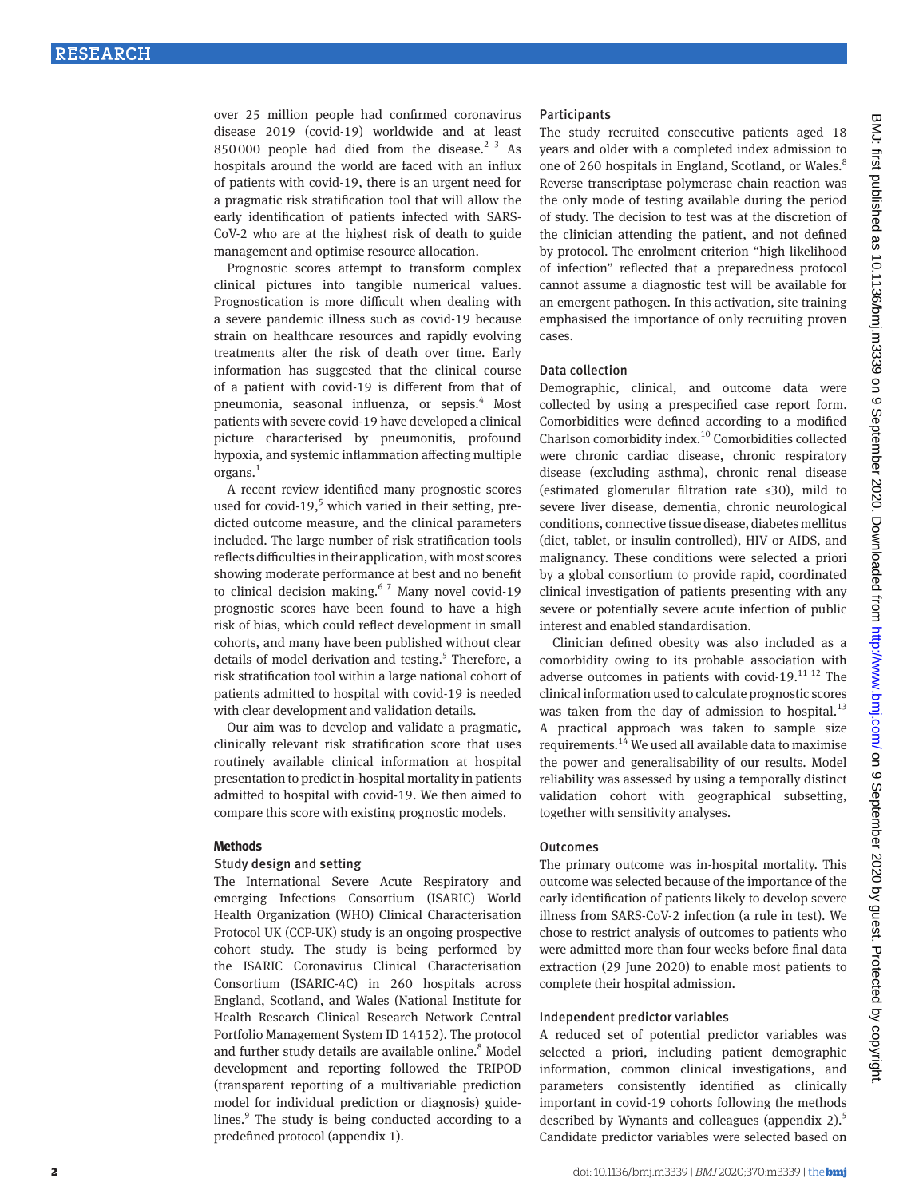over 25 million people had confirmed coronavirus disease 2019 (covid-19) worldwide and at least 850000 people had died from the disease.<sup>2 3</sup> As hospitals around the world are faced with an influx of patients with covid-19, there is an urgent need for a pragmatic risk stratification tool that will allow the early identification of patients infected with SARS-CoV-2 who are at the highest risk of death to guide management and optimise resource allocation.

Prognostic scores attempt to transform complex clinical pictures into tangible numerical values. Prognostication is more difficult when dealing with a severe pandemic illness such as covid-19 because strain on healthcare resources and rapidly evolving treatments alter the risk of death over time. Early information has suggested that the clinical course of a patient with covid-19 is different from that of pneumonia, seasonal influenza, or sepsis.<sup>4</sup> Most patients with severe covid-19 have developed a clinical picture characterised by pneumonitis, profound hypoxia, and systemic inflammation affecting multiple organs.<sup>1</sup>

A recent review identified many prognostic scores used for covid-19, $5$  which varied in their setting, predicted outcome measure, and the clinical parameters included. The large number of risk stratification tools reflects difficulties in their application, with most scores showing moderate performance at best and no benefit to clinical decision making. $67$  Many novel covid-19 prognostic scores have been found to have a high risk of bias, which could reflect development in small cohorts, and many have been published without clear details of model derivation and testing.<sup>5</sup> Therefore, a risk stratification tool within a large national cohort of patients admitted to hospital with covid-19 is needed with clear development and validation details.

Our aim was to develop and validate a pragmatic, clinically relevant risk stratification score that uses routinely available clinical information at hospital presentation to predict in-hospital mortality in patients admitted to hospital with covid-19. We then aimed to compare this score with existing prognostic models.

#### **Methods**

#### Study design and setting

The International Severe Acute Respiratory and emerging Infections Consortium (ISARIC) World Health Organization (WHO) Clinical Characterisation Protocol UK (CCP-UK) study is an ongoing prospective cohort study. The study is being performed by the ISARIC Coronavirus Clinical Characterisation Consortium (ISARIC-4C) in 260 hospitals across England, Scotland, and Wales (National Institute for Health Research Clinical Research Network Central Portfolio Management System ID 14152). The protocol and further study details are available online.<sup>8</sup> Model development and reporting followed the TRIPOD (transparent reporting of a multivariable prediction model for individual prediction or diagnosis) guidelines.<sup>9</sup> The study is being conducted according to a predefined protocol (appendix 1).

## **Participants**

The study recruited consecutive patients aged 18 years and older with a completed index admission to one of 260 hospitals in England, Scotland, or Wales.<sup>8</sup> Reverse transcriptase polymerase chain reaction was the only mode of testing available during the period of study. The decision to test was at the discretion of the clinician attending the patient, and not defined by protocol. The enrolment criterion "high likelihood of infection" reflected that a preparedness protocol cannot assume a diagnostic test will be available for an emergent pathogen. In this activation, site training emphasised the importance of only recruiting proven cases.

#### Data collection

Demographic, clinical, and outcome data were collected by using a prespecified case report form. Comorbidities were defined according to a modified Charlson comorbidity index.10 Comorbidities collected were chronic cardiac disease, chronic respiratory disease (excluding asthma), chronic renal disease (estimated glomerular filtration rate ≤30), mild to severe liver disease, dementia, chronic neurological conditions, connective tissue disease, diabetes mellitus (diet, tablet, or insulin controlled), HIV or AIDS, and malignancy. These conditions were selected a priori by a global consortium to provide rapid, coordinated clinical investigation of patients presenting with any severe or potentially severe acute infection of public interest and enabled standardisation.

Clinician defined obesity was also included as a comorbidity owing to its probable association with adverse outcomes in patients with covid-19. $^{11}$  12 The clinical information used to calculate prognostic scores was taken from the day of admission to hospital. $^{13}$ A practical approach was taken to sample size requirements.14 We used all available data to maximise the power and generalisability of our results. Model reliability was assessed by using a temporally distinct validation cohort with geographical subsetting, together with sensitivity analyses.

## **Outcomes**

The primary outcome was in-hospital mortality. This outcome was selected because of the importance of the early identification of patients likely to develop severe illness from SARS-CoV-2 infection (a rule in test). We chose to restrict analysis of outcomes to patients who were admitted more than four weeks before final data extraction (29 June 2020) to enable most patients to complete their hospital admission.

# Independent predictor variables

A reduced set of potential predictor variables was selected a priori, including patient demographic information, common clinical investigations, and parameters consistently identified as clinically important in covid-19 cohorts following the methods described by Wynants and colleagues (appendix 2).<sup>5</sup> Candidate predictor variables were selected based on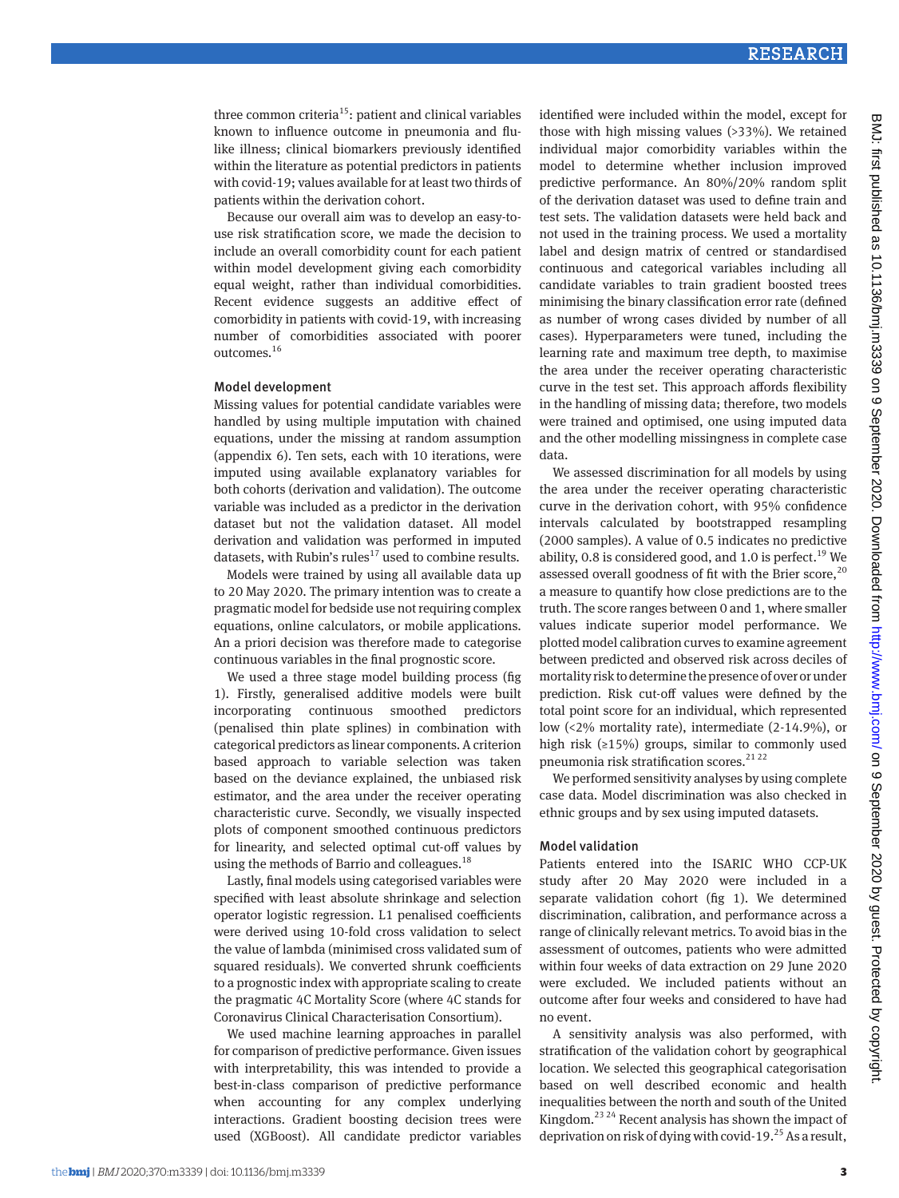three common criteria<sup>15</sup>: patient and clinical variables known to influence outcome in pneumonia and flulike illness; clinical biomarkers previously identified within the literature as potential predictors in patients with covid-19; values available for at least two thirds of patients within the derivation cohort.

Because our overall aim was to develop an easy-touse risk stratification score, we made the decision to include an overall comorbidity count for each patient within model development giving each comorbidity equal weight, rather than individual comorbidities. Recent evidence suggests an additive effect of comorbidity in patients with covid-19, with increasing number of comorbidities associated with poorer outcomes.16

#### Model development

Missing values for potential candidate variables were handled by using multiple imputation with chained equations, under the missing at random assumption (appendix 6). Ten sets, each with 10 iterations, were imputed using available explanatory variables for both cohorts (derivation and validation). The outcome variable was included as a predictor in the derivation dataset but not the validation dataset. All model derivation and validation was performed in imputed datasets, with Rubin's rules<sup>17</sup> used to combine results.

Models were trained by using all available data up to 20 May 2020. The primary intention was to create a pragmatic model for bedside use not requiring complex equations, online calculators, or mobile applications. An a priori decision was therefore made to categorise continuous variables in the final prognostic score.

We used a three stage model building process (fig 1). Firstly, generalised additive models were built incorporating continuous smoothed predictors (penalised thin plate splines) in combination with categorical predictors as linear components. A criterion based approach to variable selection was taken based on the deviance explained, the unbiased risk estimator, and the area under the receiver operating characteristic curve. Secondly, we visually inspected plots of component smoothed continuous predictors for linearity, and selected optimal cut-off values by using the methods of Barrio and colleagues.<sup>18</sup>

Lastly, final models using categorised variables were specified with least absolute shrinkage and selection operator logistic regression. L1 penalised coefficients were derived using 10-fold cross validation to select the value of lambda (minimised cross validated sum of squared residuals). We converted shrunk coefficients to a prognostic index with appropriate scaling to create the pragmatic 4C Mortality Score (where 4C stands for Coronavirus Clinical Characterisation Consortium).

We used machine learning approaches in parallel for comparison of predictive performance. Given issues with interpretability, this was intended to provide a best-in-class comparison of predictive performance when accounting for any complex underlying interactions. Gradient boosting decision trees were used (XGBoost). All candidate predictor variables

identified were included within the model, except for those with high missing values (>33%). We retained individual major comorbidity variables within the model to determine whether inclusion improved predictive performance. An 80%/20% random split of the derivation dataset was used to define train and test sets. The validation datasets were held back and not used in the training process. We used a mortality label and design matrix of centred or standardised continuous and categorical variables including all candidate variables to train gradient boosted trees minimising the binary classification error rate (defined as number of wrong cases divided by number of all cases). Hyperparameters were tuned, including the learning rate and maximum tree depth, to maximise the area under the receiver operating characteristic curve in the test set. This approach affords flexibility in the handling of missing data; therefore, two models were trained and optimised, one using imputed data and the other modelling missingness in complete case data.

We assessed discrimination for all models by using the area under the receiver operating characteristic curve in the derivation cohort, with 95% confidence intervals calculated by bootstrapped resampling (2000 samples). A value of 0.5 indicates no predictive ability, 0.8 is considered good, and 1.0 is perfect.<sup>19</sup> We assessed overall goodness of fit with the Brier score, $^{20}$ a measure to quantify how close predictions are to the truth. The score ranges between 0 and 1, where smaller values indicate superior model performance. We plotted model calibration curves to examine agreement between predicted and observed risk across deciles of mortality risk to determine the presence of over or under prediction. Risk cut-off values were defined by the total point score for an individual, which represented low (<2% mortality rate), intermediate (2-14.9%), or high risk (≥15%) groups, similar to commonly used pneumonia risk stratification scores.<sup>21 22</sup>

We performed sensitivity analyses by using complete case data. Model discrimination was also checked in ethnic groups and by sex using imputed datasets.

#### Model validation

Patients entered into the ISARIC WHO CCP-UK study after 20 May 2020 were included in a separate validation cohort (fig 1). We determined discrimination, calibration, and performance across a range of clinically relevant metrics. To avoid bias in the assessment of outcomes, patients who were admitted within four weeks of data extraction on 29 June 2020 were excluded. We included patients without an outcome after four weeks and considered to have had no event.

A sensitivity analysis was also performed, with stratification of the validation cohort by geographical location. We selected this geographical categorisation based on well described economic and health inequalities between the north and south of the United Kingdom.<sup>23 24</sup> Recent analysis has shown the impact of deprivation on risk of dying with covid-19.<sup>25</sup> As a result,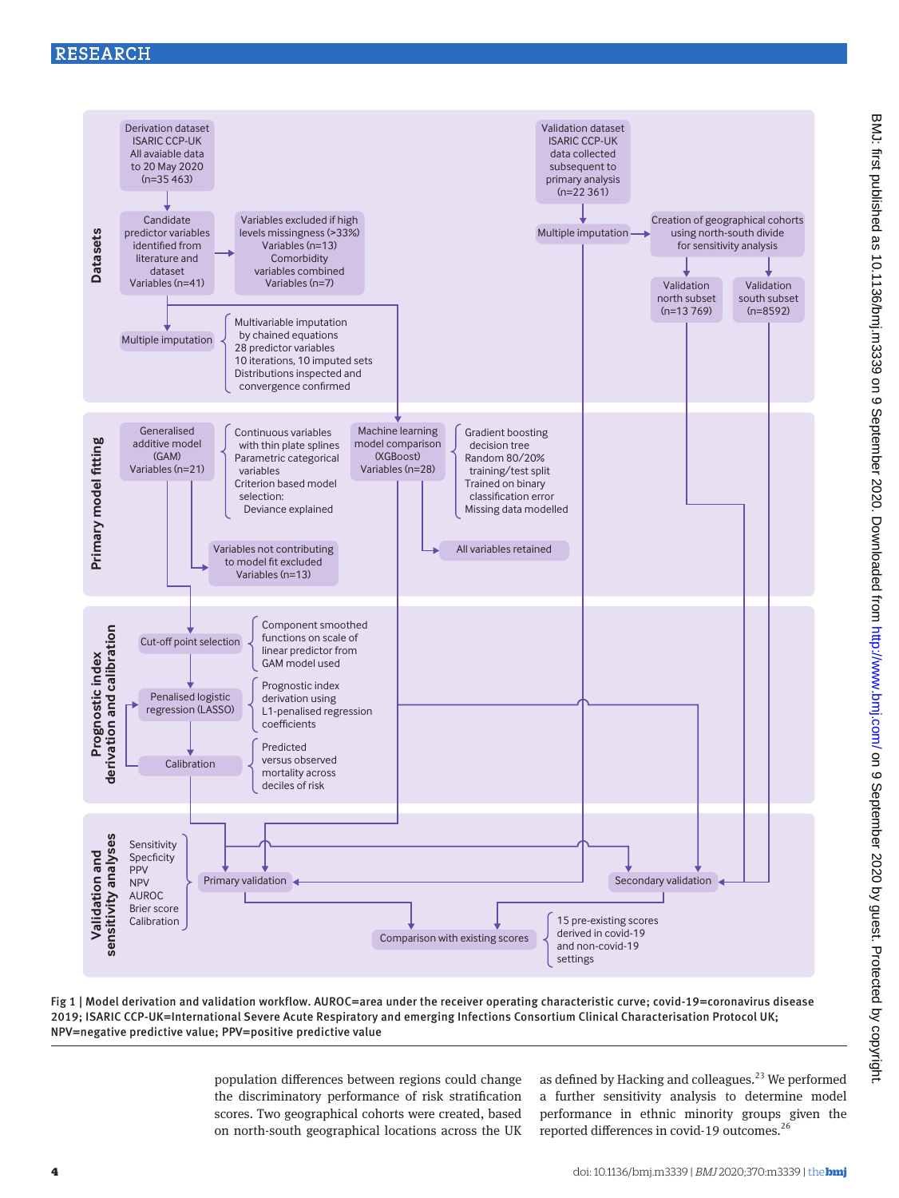# RESEARCH



Fig 1 | Model derivation and validation workflow. AUROC=area under the receiver operating characteristic curve; covid-19=coronavirus disease 2019; ISARIC CCP-UK=International Severe Acute Respiratory and emerging Infections Consortium Clinical Characterisation Protocol UK; NPV=negative predictive value; PPV=positive predictive value

> population differences between regions could change the discriminatory performance of risk stratification scores. Two geographical cohorts were created, based on north-south geographical locations across the UK

as defined by Hacking and colleagues. $^{23}$  We performed a further sensitivity analysis to determine model performance in ethnic minority groups given the reported differences in covid-19 outcomes.26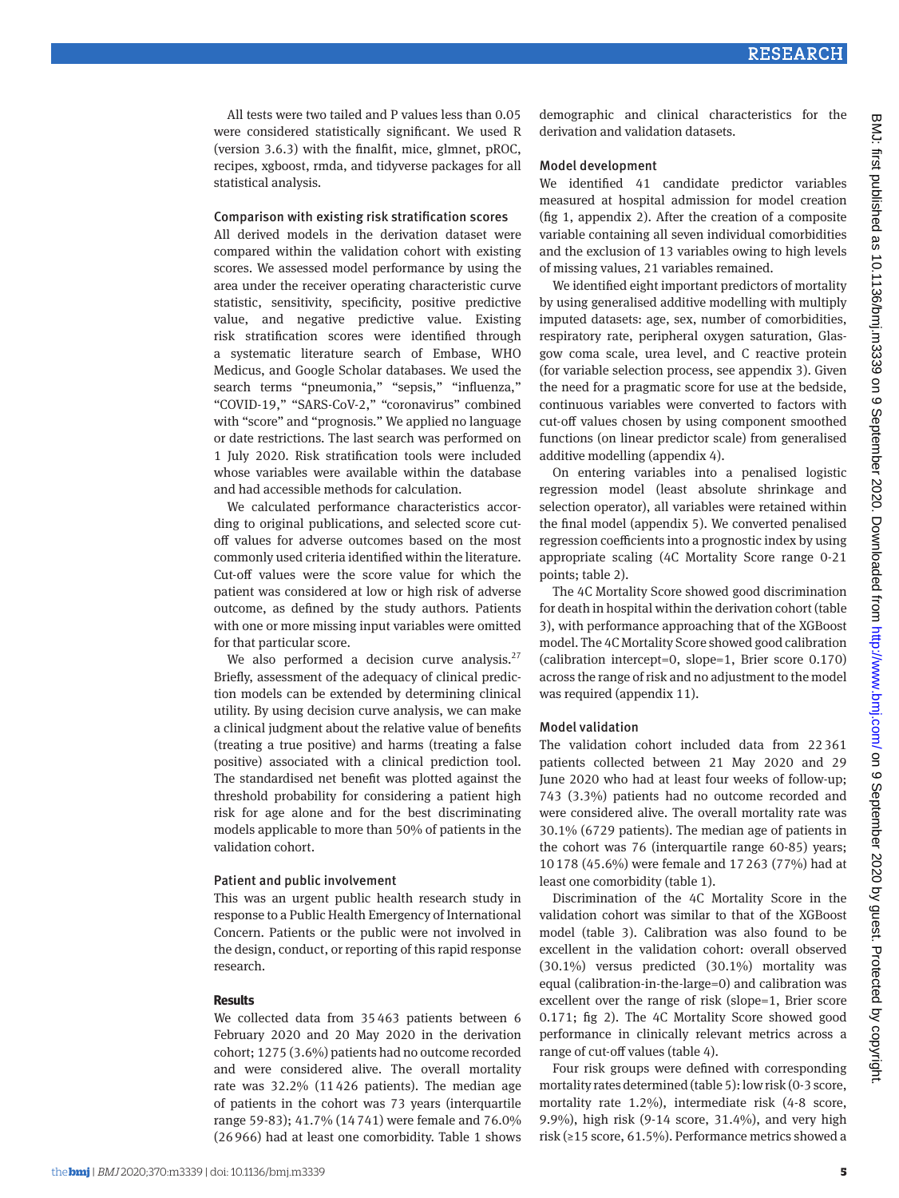All tests were two tailed and P values less than 0.05 were considered statistically significant. We used R (version 3.6.3) with the finalfit, mice, glmnet, pROC, recipes, xgboost, rmda, and tidyverse packages for all statistical analysis.

#### Comparison with existing risk stratification scores

All derived models in the derivation dataset were compared within the validation cohort with existing scores. We assessed model performance by using the area under the receiver operating characteristic curve statistic, sensitivity, specificity, positive predictive value, and negative predictive value. Existing risk stratification scores were identified through a systematic literature search of Embase, WHO Medicus, and Google Scholar databases. We used the search terms "pneumonia," "sepsis," "influenza," "COVID-19," "SARS-CoV-2," "coronavirus" combined with "score" and "prognosis." We applied no language or date restrictions. The last search was performed on 1 July 2020. Risk stratification tools were included whose variables were available within the database and had accessible methods for calculation.

We calculated performance characteristics according to original publications, and selected score cutoff values for adverse outcomes based on the most commonly used criteria identified within the literature. Cut-off values were the score value for which the patient was considered at low or high risk of adverse outcome, as defined by the study authors. Patients with one or more missing input variables were omitted for that particular score.

We also performed a decision curve analysis. $27$ Briefly, assessment of the adequacy of clinical prediction models can be extended by determining clinical utility. By using decision curve analysis, we can make a clinical judgment about the relative value of benefits (treating a true positive) and harms (treating a false positive) associated with a clinical prediction tool. The standardised net benefit was plotted against the threshold probability for considering a patient high risk for age alone and for the best discriminating models applicable to more than 50% of patients in the validation cohort.

#### Patient and public involvement

This was an urgent public health research study in response to a Public Health Emergency of International Concern. Patients or the public were not involved in the design, conduct, or reporting of this rapid response research.

## **Results**

We collected data from 35463 patients between 6 February 2020 and 20 May 2020 in the derivation cohort; 1275 (3.6%) patients had no outcome recorded and were considered alive. The overall mortality rate was 32.2% (11426 patients). The median age of patients in the cohort was 73 years (interquartile range 59-83); 41.7% (14741) were female and 76.0% (26966) had at least one comorbidity. Table 1 shows

demographic and clinical characteristics for the derivation and validation datasets.

#### Model development

We identified 41 candidate predictor variables measured at hospital admission for model creation (fig 1, appendix 2). After the creation of a composite variable containing all seven individual comorbidities and the exclusion of 13 variables owing to high levels of missing values, 21 variables remained.

We identified eight important predictors of mortality by using generalised additive modelling with multiply imputed datasets: age, sex, number of comorbidities, respiratory rate, peripheral oxygen saturation, Glasgow coma scale, urea level, and C reactive protein (for variable selection process, see appendix 3). Given the need for a pragmatic score for use at the bedside, continuous variables were converted to factors with cut-off values chosen by using component smoothed functions (on linear predictor scale) from generalised additive modelling (appendix 4).

On entering variables into a penalised logistic regression model (least absolute shrinkage and selection operator), all variables were retained within the final model (appendix 5). We converted penalised regression coefficients into a prognostic index by using appropriate scaling (4C Mortality Score range 0-21 points; table 2).

The 4C Mortality Score showed good discrimination for death in hospital within the derivation cohort (table 3), with performance approaching that of the XGBoost model. The 4C Mortality Score showed good calibration (calibration intercept=0, slope=1, Brier score 0.170) across the range of risk and no adjustment to the model was required (appendix 11).

## Model validation

The validation cohort included data from 22361 patients collected between 21 May 2020 and 29 June 2020 who had at least four weeks of follow-up; 743 (3.3%) patients had no outcome recorded and were considered alive. The overall mortality rate was 30.1% (6729 patients). The median age of patients in the cohort was 76 (interquartile range 60-85) years; 10178 (45.6%) were female and 17263 (77%) had at least one comorbidity (table 1).

Discrimination of the 4C Mortality Score in the validation cohort was similar to that of the XGBoost model (table 3). Calibration was also found to be excellent in the validation cohort: overall observed (30.1%) versus predicted (30.1%) mortality was equal (calibration-in-the-large=0) and calibration was excellent over the range of risk (slope=1, Brier score 0.171; fig 2). The 4C Mortality Score showed good performance in clinically relevant metrics across a range of cut-off values (table 4).

Four risk groups were defined with corresponding mortality rates determined (table 5): low risk (0-3 score, mortality rate 1.2%), intermediate risk (4-8 score, 9.9%), high risk (9-14 score, 31.4%), and very high risk (≥15 score, 61.5%). Performance metrics showed a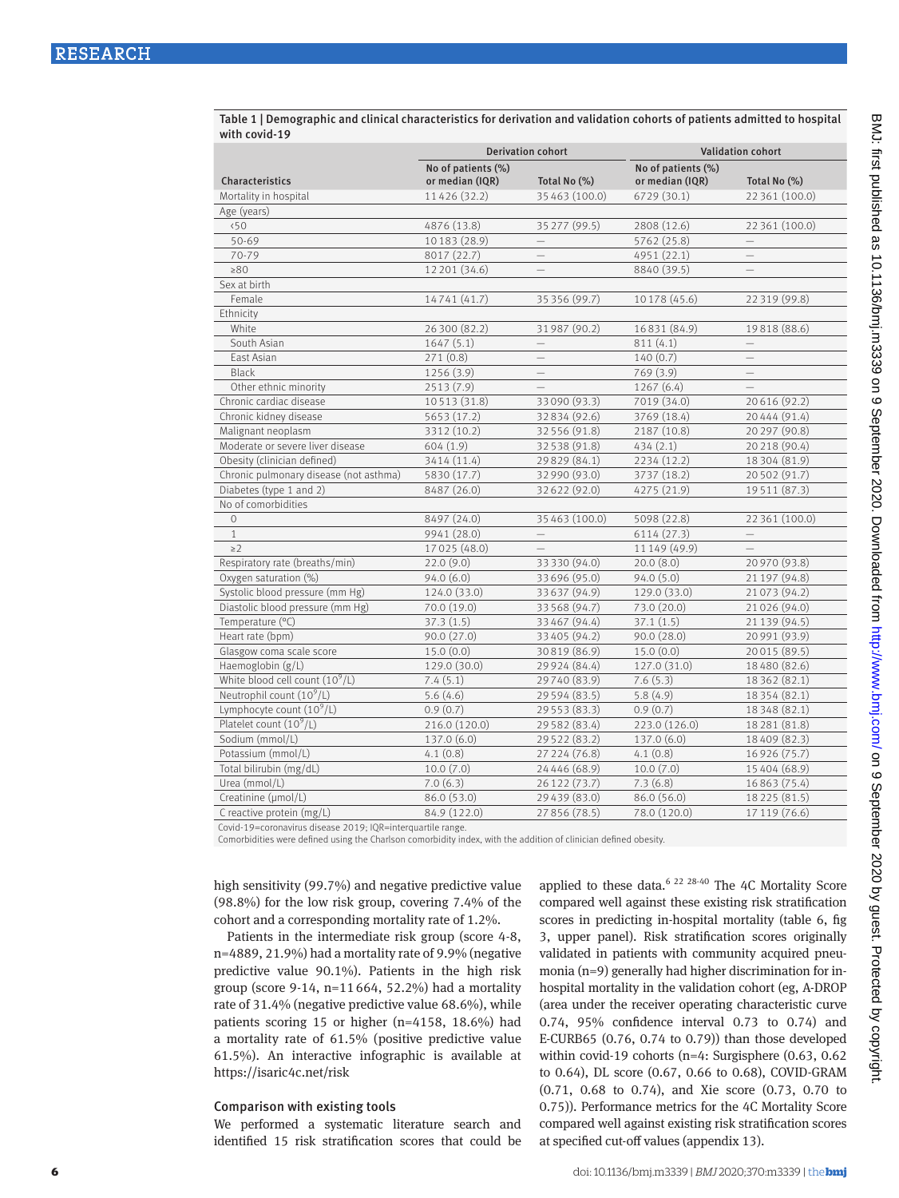|                                        | <b>Derivation cohort</b>              |                          | <b>Validation cohort</b>              |                          |  |
|----------------------------------------|---------------------------------------|--------------------------|---------------------------------------|--------------------------|--|
| Characteristics                        | No of patients (%)<br>or median (IQR) | Total No (%)             | No of patients (%)<br>or median (IQR) | Total No (%)             |  |
| Mortality in hospital                  | 11426 (32.2)                          | 35 463 (100.0)           | 6729 (30.1)                           | 22 361 (100.0)           |  |
| Age (years)                            |                                       |                          |                                       |                          |  |
| 50                                     | 4876 (13.8)                           | 35 277 (99.5)            | 2808 (12.6)                           | 22 361 (100.0)           |  |
| 50-69                                  | 10183 (28.9)                          |                          | 5762 (25.8)                           |                          |  |
| 70-79                                  | 8017 (22.7)                           |                          | 4951 (22.1)                           |                          |  |
| $\geq 80$                              | 12 201 (34.6)                         | $\equiv$                 | 8840 (39.5)                           | $\equiv$                 |  |
| Sex at birth                           |                                       |                          |                                       |                          |  |
| Female                                 | 14741 (41.7)                          | 35 356 (99.7)            | 10178 (45.6)                          | 22 319 (99.8)            |  |
| Ethnicity                              |                                       |                          |                                       |                          |  |
| White                                  | 26 300 (82.2)                         | 31987 (90.2)             | 16831 (84.9)                          | 19818 (88.6)             |  |
| South Asian                            | 1647(5.1)                             | $\overline{\phantom{0}}$ | 811(4.1)                              | $\qquad \qquad -$        |  |
| East Asian                             | 271(0.8)                              | $\qquad \qquad -$        | 140(0.7)                              | $\overline{\phantom{0}}$ |  |
| <b>Black</b>                           | 1256 (3.9)                            | $\overline{\phantom{0}}$ | 769 (3.9)                             | $\equiv$                 |  |
| Other ethnic minority                  | 2513(7.9)                             | $\equiv$                 | 1267(6.4)                             | $-$                      |  |
| Chronic cardiac disease                | 10513 (31.8)                          | 33090 (93.3)             | 7019 (34.0)                           | 20616 (92.2)             |  |
| Chronic kidney disease                 | 5653 (17.2)                           | 32834 (92.6)             | 3769 (18.4)                           | 20444 (91.4)             |  |
| Malignant neoplasm                     | 3312 (10.2)                           | 32 556 (91.8)            | 2187 (10.8)                           | 20 297 (90.8)            |  |
| Moderate or severe liver disease       | 604(1.9)                              | 32 538 (91.8)            | 434(2.1)                              | 20 218 (90.4)            |  |
| Obesity (clinician defined)            | 3414 (11.4)                           | 29829 (84.1)             | 2234 (12.2)                           | 18 304 (81.9)            |  |
| Chronic pulmonary disease (not asthma) | 5830 (17.7)                           | 32 990 (93.0)            | 3737 (18.2)                           | 20502 (91.7)             |  |
| Diabetes (type 1 and 2)                | 8487 (26.0)                           | 32622 (92.0)             | 4275 (21.9)                           | 19511 (87.3)             |  |
| No of comorbidities                    |                                       |                          |                                       |                          |  |
| $\circ$                                | 8497 (24.0)                           | 35 463 (100.0)           | 5098 (22.8)                           | 22 361 (100.0)           |  |
| $\mathbf{1}$                           | 9941 (28.0)                           | $\overline{\phantom{0}}$ | 6114(27.3)                            | $\qquad \qquad -$        |  |
| $\geq$ 2                               | 17025 (48.0)                          | $\overline{\phantom{0}}$ | 11149 (49.9)                          | $-$                      |  |
| Respiratory rate (breaths/min)         | 22.0(9.0)                             | 33 330 (94.0)            | 20.0(8.0)                             | 20970 (93.8)             |  |
| Oxygen saturation (%)                  | 94.0(6.0)                             | 33 696 (95.0)            | 94.0(5.0)                             | 21 197 (94.8)            |  |
| Systolic blood pressure (mm Hg)        | 124.0 (33.0)                          | 33 637 (94.9)            | 129.0 (33.0)                          | 21073 (94.2)             |  |
| Diastolic blood pressure (mm Hg)       | 70.0 (19.0)                           | 33 568 (94.7)            | 73.0 (20.0)                           | 21026 (94.0)             |  |
| Temperature (°C)                       | 37.3(1.5)                             | 33 467 (94.4)            | 37.1(1.5)                             | 21 139 (94.5)            |  |
| Heart rate (bpm)                       | 90.0(27.0)                            | 33 405 (94.2)            | 90.0 (28.0)                           | 20991 (93.9)             |  |
| Glasgow coma scale score               | 15.0(0.0)                             | 30819 (86.9)             | 15.0(0.0)                             | 20015 (89.5)             |  |
| Haemoglobin (g/L)                      | 129.0 (30.0)                          | 29 9 24 (84.4)           | 127.0 (31.0)                          | 18480 (82.6)             |  |
| White blood cell count $(10^9/L)$      | 7.4(5.1)                              | 29740 (83.9)             | 7.6(5.3)                              | 18 362 (82.1)            |  |
| Neutrophil count $(10^9/L)$            | 5.6(4.6)                              | 29 5 9 4 (8 3.5)         | 5.8(4.9)                              | 18354 (82.1)             |  |
| Lymphocyte count $(10^9/L)$            | 0.9(0.7)                              | 29 5 5 3 (8 3 . 3)       | 0.9(0.7)                              | 18 3 48 (82.1)           |  |
| Platelet count $(10^9/L)$              | 216.0 (120.0)                         | 29 582 (83.4)            | 223.0 (126.0)                         | 18 281 (81.8)            |  |
| Sodium (mmol/L)                        | 137.0 (6.0)                           | 29 5 22 (8 3.2)          | 137.0 (6.0)                           | 18409 (82.3)             |  |
| Potassium (mmol/L)                     | 4.1(0.8)                              | 27 224 (76.8)            | 4.1(0.8)                              | 16926 (75.7)             |  |
| Total bilirubin (mg/dL)                | 10.0(7.0)                             | 24 4 4 6 (68.9)          | 10.0(7.0)                             | 15 404 (68.9)            |  |
| Urea (mmol/L)                          | 7.0(6.3)                              | 26 122 (73.7)            | 7.3(6.8)                              | 16863 (75.4)             |  |
| Creatinine (µmol/L)                    | 86.0 (53.0)                           | 29 439 (83.0)            | 86.0 (56.0)                           | 18 2 2 5 (8 1.5)         |  |
| C reactive protein (mg/L)              | 84.9 (122.0)                          | 27 856 (78.5)            | 78.0 (120.0)                          | 17 119 (76.6)            |  |

Table 1 | Demographic and clinical characteristics for derivation and validation cohorts of patients admitted to hospital with covid-19

Covid-19=coronavirus disease 2019; IQR=interquartile range.

Comorbidities were defined using the Charlson comorbidity index, with the addition of clinician defined obesity.

high sensitivity (99.7%) and negative predictive value (98.8%) for the low risk group, covering 7.4% of the cohort and a corresponding mortality rate of 1.2%.

Patients in the intermediate risk group (score 4-8, n=4889, 21.9%) had a mortality rate of 9.9% (negative predictive value 90.1%). Patients in the high risk group (score 9-14, n=11664, 52.2%) had a mortality rate of 31.4% (negative predictive value 68.6%), while patients scoring 15 or higher (n=4158, 18.6%) had a mortality rate of 61.5% (positive predictive value 61.5%). An interactive infographic is available at <https://isaric4c.net/risk>

#### Comparison with existing tools

We performed a systematic literature search and identified 15 risk stratification scores that could be applied to these data.<sup>6 22 28-40</sup> The 4C Mortality Score compared well against these existing risk stratification scores in predicting in-hospital mortality (table 6, fig 3, upper panel). Risk stratification scores originally validated in patients with community acquired pneumonia (n=9) generally had higher discrimination for inhospital mortality in the validation cohort (eg, A-DROP (area under the receiver operating characteristic curve 0.74, 95% confidence interval 0.73 to 0.74) and E-CURB65 (0.76, 0.74 to 0.79)) than those developed within covid-19 cohorts (n=4: Surgisphere (0.63, 0.62 to 0.64), DL score (0.67, 0.66 to 0.68), COVID-GRAM (0.71, 0.68 to 0.74), and Xie score (0.73, 0.70 to 0.75)). Performance metrics for the 4C Mortality Score compared well against existing risk stratification scores at specified cut-off values (appendix 13).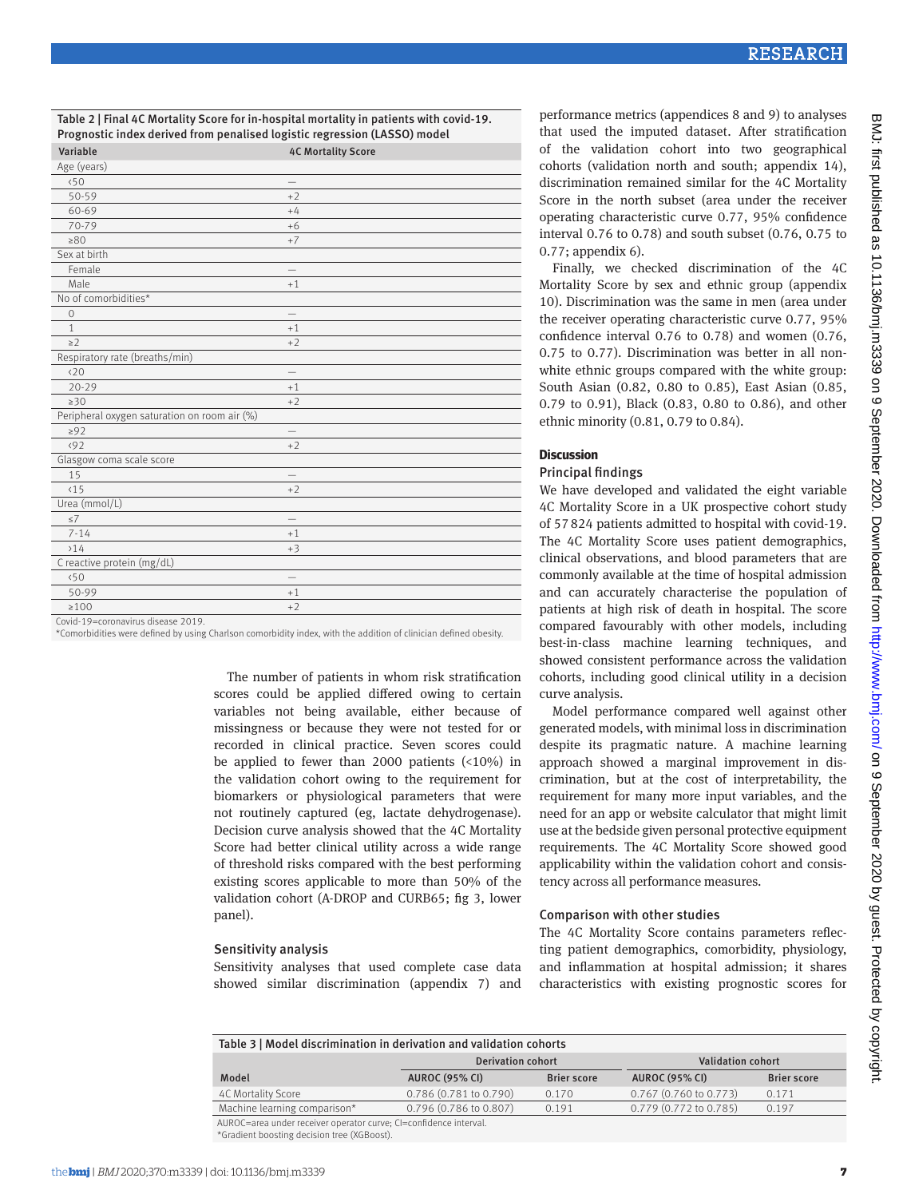Table 2 | Final 4C Mortality Score for in-hospital mortality in patients with covid-19. Prognostic index derived from penalised logistic regression (LASSO) model

| Variable                                     | <b>4C Mortality Score</b> |
|----------------------------------------------|---------------------------|
| Age (years)                                  |                           |
| 50                                           |                           |
| 50-59                                        | $+2$                      |
| 60-69                                        | $+4$                      |
| 70-79                                        | $+6$                      |
| $\geq 80$                                    | $+7$                      |
| Sex at birth                                 |                           |
| Female                                       |                           |
| Male                                         | $+1$                      |
| No of comorbidities*                         |                           |
| $\circ$                                      | $\overline{\phantom{0}}$  |
| $\mathbf{1}$                                 | $+1$                      |
| $\geq$ 2                                     | $+2$                      |
| Respiratory rate (breaths/min)               |                           |
| (20)                                         |                           |
| $20 - 29$                                    | $+1$                      |
| $\geq 30$                                    | $+2$                      |
| Peripheral oxygen saturation on room air (%) |                           |
| $\geq 92$                                    |                           |
| (92)                                         | $+2$                      |
| Glasgow coma scale score                     |                           |
| 15                                           |                           |
| $15$                                         | $+2$                      |
| Urea (mmol/L)                                |                           |
| $\leq$ 7                                     |                           |
| $7 - 14$                                     | $+1$                      |
| >14                                          | $+3$                      |
| C reactive protein (mg/dL)                   |                           |
| 50                                           |                           |
| 50-99                                        | $+1$                      |
| $\geq 100$                                   | $+2$                      |
| Could 10 coronavirus disease 2010            |                           |

coronavirus disease 2019.

\*Comorbidities were defined by using Charlson comorbidity index, with the addition of clinician defined obesity.

The number of patients in whom risk stratification scores could be applied differed owing to certain variables not being available, either because of missingness or because they were not tested for or recorded in clinical practice. Seven scores could be applied to fewer than 2000 patients (<10%) in the validation cohort owing to the requirement for biomarkers or physiological parameters that were not routinely captured (eg, lactate dehydrogenase). Decision curve analysis showed that the 4C Mortality Score had better clinical utility across a wide range of threshold risks compared with the best performing existing scores applicable to more than 50% of the validation cohort (A-DROP and CURB65; fig 3, lower panel).

# Sensitivity analysis

Sensitivity analyses that used complete case data showed similar discrimination (appendix 7) and performance metrics (appendices 8 and 9) to analyses that used the imputed dataset. After stratification of the validation cohort into two geographical cohorts (validation north and south; appendix 14), discrimination remained similar for the 4C Mortality Score in the north subset (area under the receiver operating characteristic curve 0.77, 95% confidence interval 0.76 to 0.78) and south subset (0.76, 0.75 to 0.77; appendix 6).

Finally, we checked discrimination of the 4C Mortality Score by sex and ethnic group (appendix 10). Discrimination was the same in men (area under the receiver operating characteristic curve 0.77, 95% confidence interval 0.76 to 0.78) and women (0.76, 0.75 to 0.77). Discrimination was better in all nonwhite ethnic groups compared with the white group: South Asian (0.82, 0.80 to 0.85), East Asian (0.85, 0.79 to 0.91), Black (0.83, 0.80 to 0.86), and other ethnic minority (0.81, 0.79 to 0.84).

## **Discussion**

## Principal findings

We have developed and validated the eight variable 4C Mortality Score in a UK prospective cohort study of 57824 patients admitted to hospital with covid-19. The 4C Mortality Score uses patient demographics, clinical observations, and blood parameters that are commonly available at the time of hospital admission and can accurately characterise the population of patients at high risk of death in hospital. The score compared favourably with other models, including best-in-class machine learning techniques, and showed consistent performance across the validation cohorts, including good clinical utility in a decision curve analysis.

Model performance compared well against other generated models, with minimal loss in discrimination despite its pragmatic nature. A machine learning approach showed a marginal improvement in discrimination, but at the cost of interpretability, the requirement for many more input variables, and the need for an app or website calculator that might limit use at the bedside given personal protective equipment requirements. The 4C Mortality Score showed good applicability within the validation cohort and consistency across all performance measures.

## Comparison with other studies

The 4C Mortality Score contains parameters reflecting patient demographics, comorbidity, physiology, and inflammation at hospital admission; it shares characteristics with existing prognostic scores for

| Table 3   Model discrimination in derivation and validation cohorts |                          |                    |                              |                    |  |  |
|---------------------------------------------------------------------|--------------------------|--------------------|------------------------------|--------------------|--|--|
|                                                                     | <b>Derivation cohort</b> |                    | Validation cohort            |                    |  |  |
| Model                                                               | <b>AUROC (95% CI)</b>    | <b>Brier score</b> | <b>AUROC (95% CI)</b>        | <b>Brier score</b> |  |  |
| 4C Mortality Score                                                  | 0.786 (0.781 to 0.790)   | 0.170              | $0.767$ (0.760 to 0.773)     | 0.171              |  |  |
| Machine learning comparison*                                        | 0.796 (0.786 to 0.807)   | 0.191              | $0.779$ $(0.772$ to $0.785)$ | 0.197              |  |  |
| AUROC=area under receiver operator curve; CI=confidence interval.   |                          |                    |                              |                    |  |  |

\*Gradient boosting decision tree (XGBoost).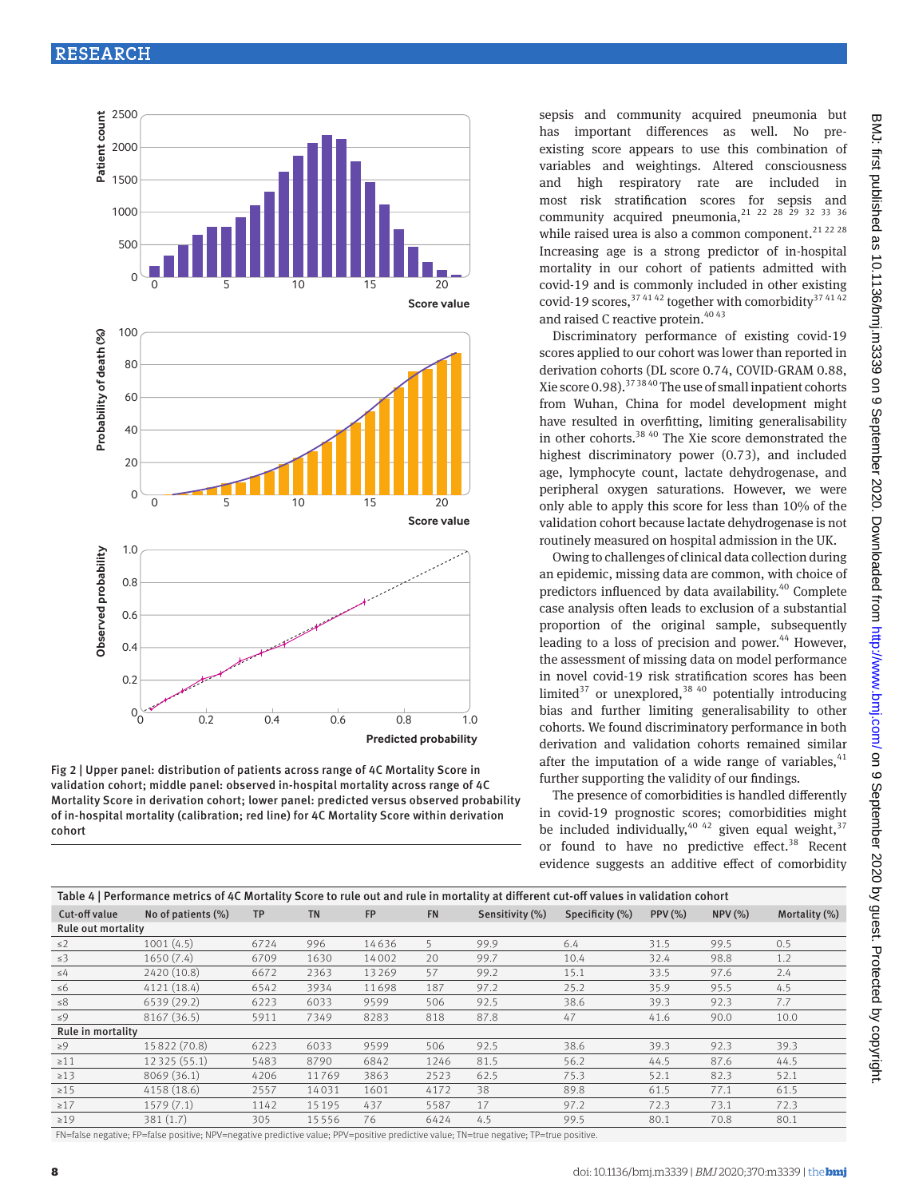

Fig 2 | Upper panel: distribution of patients across range of 4C Mortality Score in validation cohort; middle panel: observed in-hospital mortality across range of 4C Mortality Score in derivation cohort; lower panel: predicted versus observed probability of in-hospital mortality (calibration; red line) for 4C Mortality Score within derivation cohort

sepsis and community acquired pneumonia but has important differences as well. No preexisting score appears to use this combination of variables and weightings. Altered consciousness and high respiratory rate are included in most risk stratification scores for sepsis and community acquired pneumonia, $21$   $22$   $28$   $29$   $32$   $33$   $36$ while raised urea is also a common component.<sup>21 22 28</sup> Increasing age is a strong predictor of in-hospital mortality in our cohort of patients admitted with covid-19 and is commonly included in other existing covid-19 scores,  $37\frac{4142}{2}$  together with comorbidity  $37\frac{4142}{2}$ and raised C reactive protein.<sup>40 43</sup>

Discriminatory performance of existing covid-19 scores applied to our cohort was lower than reported in derivation cohorts (DL score 0.74, COVID-GRAM 0.88, Xie score 0.98).<sup>37 38 40</sup> The use of small inpatient cohorts from Wuhan, China for model development might have resulted in overfitting, limiting generalisability in other cohorts.<sup>38 40</sup> The Xie score demonstrated the highest discriminatory power (0.73), and included age, lymphocyte count, lactate dehydrogenase, and peripheral oxygen saturations. However, we were only able to apply this score for less than 10% of the validation cohort because lactate dehydrogenase is not routinely measured on hospital admission in the UK.

Owing to challenges of clinical data collection during an epidemic, missing data are common, with choice of predictors influenced by data availability.<sup>40</sup> Complete case analysis often leads to exclusion of a substantial proportion of the original sample, subsequently leading to a loss of precision and power. $44$  However, the assessment of missing data on model performance in novel covid-19 risk stratification scores has been limited<sup>37</sup> or unexplored,<sup>38 40</sup> potentially introducing bias and further limiting generalisability to other cohorts. We found discriminatory performance in both derivation and validation cohorts remained similar after the imputation of a wide range of variables,  $41$ further supporting the validity of our findings.

The presence of comorbidities is handled differently in covid-19 prognostic scores; comorbidities might be included individually,  $40^{42}$  given equal weight,  $37$ or found to have no predictive effect.<sup>38</sup> Recent evidence suggests an additive effect of comorbidity

| Table 4   Performance metrics of 4C Mortality Score to rule out and rule in mortality at different cut-off values in validation cohort |                    |           |           |           |           |                 |                 |        |              |               |
|----------------------------------------------------------------------------------------------------------------------------------------|--------------------|-----------|-----------|-----------|-----------|-----------------|-----------------|--------|--------------|---------------|
| Cut-off value                                                                                                                          | No of patients (%) | <b>TP</b> | <b>TN</b> | <b>FP</b> | <b>FN</b> | Sensitivity (%) | Specificity (%) | PPV(%) | $NPV$ $(\%)$ | Mortality (%) |
| Rule out mortality                                                                                                                     |                    |           |           |           |           |                 |                 |        |              |               |
| $\leq$ 2                                                                                                                               | 1001(4.5)          | 6724      | 996       | 14636     | 5         | 99.9            | 6.4             | 31.5   | 99.5         | 0.5           |
| $\leq$ 3                                                                                                                               | 1650(7.4)          | 6709      | 1630      | 14002     | 20        | 99.7            | 10.4            | 32.4   | 98.8         | 1.2           |
| $\leq$ 4                                                                                                                               | 2420 (10.8)        | 6672      | 2363      | 13269     | 57        | 99.2            | 15.1            | 33.5   | 97.6         | 2.4           |
| $\leq 6$                                                                                                                               | 4121 (18.4)        | 6542      | 3934      | 11698     | 187       | 97.2            | 25.2            | 35.9   | 95.5         | 4.5           |
| $\leq 8$                                                                                                                               | 6539 (29.2)        | 6223      | 6033      | 9599      | 506       | 92.5            | 38.6            | 39.3   | 92.3         | 7.7           |
| $\leq 9$                                                                                                                               | 8167 (36.5)        | 5911      | 7349      | 8283      | 818       | 87.8            | 47              | 41.6   | 90.0         | 10.0          |
| Rule in mortality                                                                                                                      |                    |           |           |           |           |                 |                 |        |              |               |
| $\geq 9$                                                                                                                               | 15822 (70.8)       | 6223      | 6033      | 9599      | 506       | 92.5            | 38.6            | 39.3   | 92.3         | 39.3          |
| $\geq 11$                                                                                                                              | 12 3 25 (55.1)     | 5483      | 8790      | 6842      | 1246      | 81.5            | 56.2            | 44.5   | 87.6         | 44.5          |
| $\geq$ 13                                                                                                                              | 8069 (36.1)        | 4206      | 11769     | 3863      | 2523      | 62.5            | 75.3            | 52.1   | 82.3         | 52.1          |
| $\geq 15$                                                                                                                              | 4158 (18.6)        | 2557      | 14031     | 1601      | 4172      | 38              | 89.8            | 61.5   | 77.1         | 61.5          |
| $\geq$ 17                                                                                                                              | 1579(7.1)          | 1142      | 15 1 9 5  | 437       | 5587      | 17              | 97.2            | 72.3   | 73.1         | 72.3          |
| $\geq$ 19                                                                                                                              | 381(1.7)           | 305       | 15556     | 76        | 6424      | 4.5             | 99.5            | 80.1   | 70.8         | 80.1          |

FN=false negative; FP=false positive; NPV=negative predictive value; PPV=positive predictive value; TN=true negative; TP=true positive.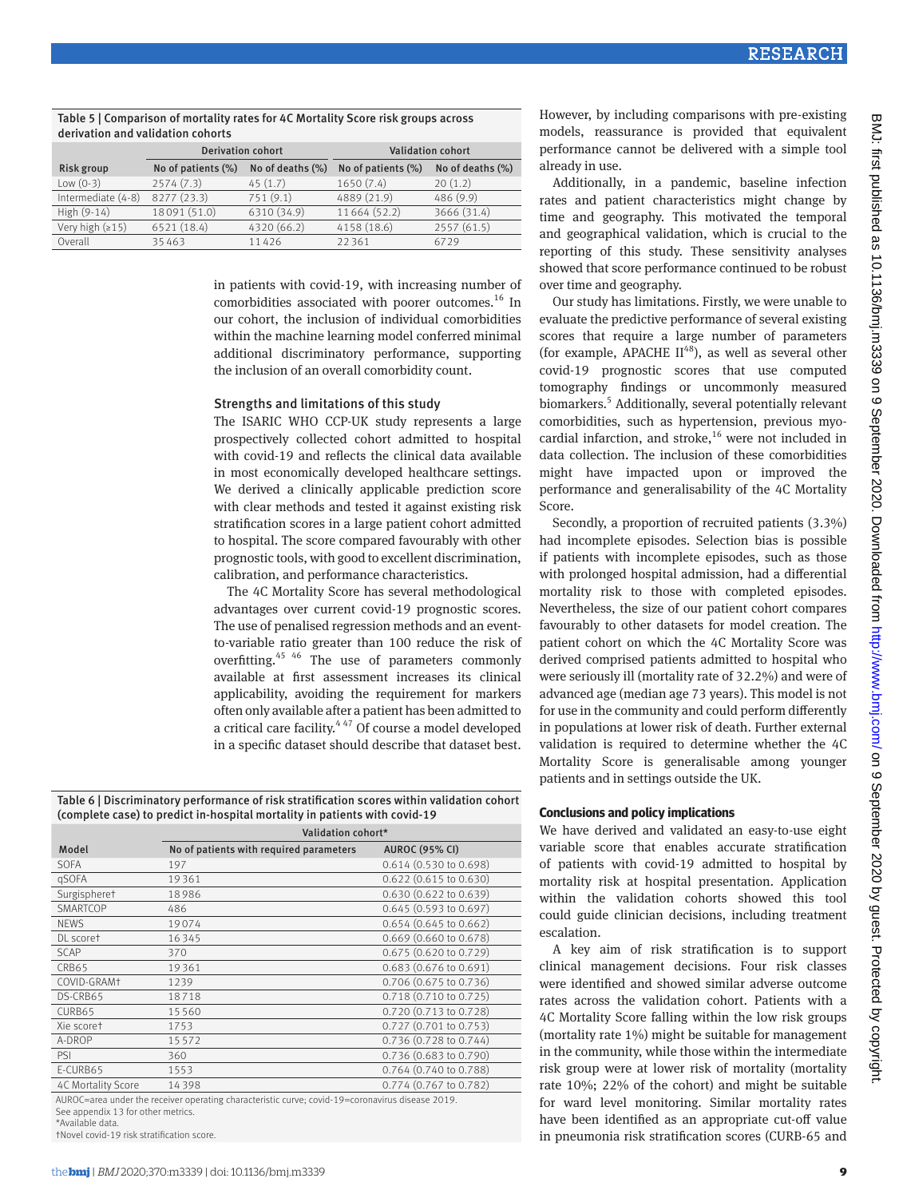| Table 5   Comparison of mortality rates for 4C Mortality Score risk groups across<br>derivation and validation cohorts |                          |                  |                          |                  |  |
|------------------------------------------------------------------------------------------------------------------------|--------------------------|------------------|--------------------------|------------------|--|
|                                                                                                                        | <b>Derivation cohort</b> |                  | <b>Validation cohort</b> |                  |  |
| Risk group                                                                                                             | No of patients (%)       | No of deaths (%) | No of patients (%)       | No of deaths (%) |  |
| Low $(0-3)$                                                                                                            | 2574(7.3)                | 45(1.7)          | 1650(7.4)                | 20(1,2)          |  |
| Intermediate (4-8)                                                                                                     | 8277 (23.3)              | 751(9.1)         | 4889 (21.9)              | 486(9.9)         |  |
| High $(9-14)$                                                                                                          | 18091 (51.0)             | 6310 (34.9)      | 11664 (52.2)             | 3666 (31.4)      |  |

Very high (≥15) 6521 (18.4) 4320 (66.2) 4158 (18.6) 2557 (61.5) Overall 35 463 11 426 22 361 6729

 $T_a = 100$  Mortality rates for  $\frac{1}{2}$ 

in patients with covid-19, with increasing number of comorbidities associated with poorer outcomes.<sup>16</sup> In our cohort, the inclusion of individual comorbidities within the machine learning model conferred minimal additional discriminatory performance, supporting the inclusion of an overall comorbidity count.

#### Strengths and limitations of this study

The ISARIC WHO CCP-UK study represents a large prospectively collected cohort admitted to hospital with covid-19 and reflects the clinical data available in most economically developed healthcare settings. We derived a clinically applicable prediction score with clear methods and tested it against existing risk stratification scores in a large patient cohort admitted to hospital. The score compared favourably with other prognostic tools, with good to excellent discrimination, calibration, and performance characteristics.

The 4C Mortality Score has several methodological advantages over current covid-19 prognostic scores. The use of penalised regression methods and an eventto-variable ratio greater than 100 reduce the risk of overfitting.45 46 The use of parameters commonly available at first assessment increases its clinical applicability, avoiding the requirement for markers often only available after a patient has been admitted to a critical care facility.<sup>447</sup> Of course a model developed in a specific dataset should describe that dataset best.

Table 6 | Discriminatory performance of risk stratification scores within validation cohort (complete case) to predict in-hospital mortality in patients with covid-19

|                    | Validation cohort*                      |                                  |  |  |  |
|--------------------|-----------------------------------------|----------------------------------|--|--|--|
| Model              | No of patients with required parameters | <b>AUROC (95% CI)</b>            |  |  |  |
| <b>SOFA</b>        | 197                                     | 0.614 (0.530 to 0.698)           |  |  |  |
| qSOFA              | 19361                                   | $0.622$ (0.615 to 0.630)         |  |  |  |
| Surgispheret       | 18986                                   | $0.630(0.622 \text{ to } 0.639)$ |  |  |  |
| SMARTCOP           | 486                                     | $0.645(0.593$ to $0.697)$        |  |  |  |
| <b>NEWS</b>        | 19074                                   | $0.654$ (0.645 to 0.662)         |  |  |  |
| DL scoret          | 16345                                   | $0.669$ (0.660 to 0.678)         |  |  |  |
| <b>SCAP</b>        | 370                                     | 0.675 (0.620 to 0.729)           |  |  |  |
| CRB65              | 19361                                   | $0.683$ (0.676 to 0.691)         |  |  |  |
| COVID-GRAMT        | 1239                                    | 0.706 (0.675 to 0.736)           |  |  |  |
| DS-CRB65           | 18718                                   | 0.718 (0.710 to 0.725)           |  |  |  |
| CURB65             | 15560                                   | 0.720 (0.713 to 0.728)           |  |  |  |
| Xie scoret         | 1753                                    | 0.727 (0.701 to 0.753)           |  |  |  |
| A-DROP             | 15572                                   | 0.736 (0.728 to 0.744)           |  |  |  |
| PSI                | 360                                     | 0.736 (0.683 to 0.790)           |  |  |  |
| E-CURB65           | 1553                                    | 0.764 (0.740 to 0.788)           |  |  |  |
| 4C Mortality Score | 14398                                   | 0.774 (0.767 to 0.782)           |  |  |  |
|                    |                                         |                                  |  |  |  |

AUROC=area under the receiver operating characteristic curve; covid-19=coronavirus disease 2019. See appendix 13 for other metrics.

\*Available data.

†Novel covid-19 risk stratification score.

However, by including comparisons with pre-existing models, reassurance is provided that equivalent performance cannot be delivered with a simple tool already in use.

Additionally, in a pandemic, baseline infection rates and patient characteristics might change by time and geography. This motivated the temporal and geographical validation, which is crucial to the reporting of this study. These sensitivity analyses showed that score performance continued to be robust over time and geography.

Our study has limitations. Firstly, we were unable to evaluate the predictive performance of several existing scores that require a large number of parameters (for example, APACHE  $II^{48}$ ), as well as several other covid-19 prognostic scores that use computed tomography findings or uncommonly measured biomarkers.<sup>5</sup> Additionally, several potentially relevant comorbidities, such as hypertension, previous myocardial infarction, and stroke, $16$  were not included in data collection. The inclusion of these comorbidities might have impacted upon or improved the performance and generalisability of the 4C Mortality Score.

Secondly, a proportion of recruited patients (3.3%) had incomplete episodes. Selection bias is possible if patients with incomplete episodes, such as those with prolonged hospital admission, had a differential mortality risk to those with completed episodes. Nevertheless, the size of our patient cohort compares favourably to other datasets for model creation. The patient cohort on which the 4C Mortality Score was derived comprised patients admitted to hospital who were seriously ill (mortality rate of 32.2%) and were of advanced age (median age 73 years). This model is not for use in the community and could perform differently in populations at lower risk of death. Further external validation is required to determine whether the 4C Mortality Score is generalisable among younger patients and in settings outside the UK.

## **Conclusions and policy implications**

We have derived and validated an easy-to-use eight variable score that enables accurate stratification of patients with covid-19 admitted to hospital by mortality risk at hospital presentation. Application within the validation cohorts showed this tool could guide clinician decisions, including treatment escalation.

A key aim of risk stratification is to support clinical management decisions. Four risk classes were identified and showed similar adverse outcome rates across the validation cohort. Patients with a 4C Mortality Score falling within the low risk groups (mortality rate 1%) might be suitable for management in the community, while those within the intermediate risk group were at lower risk of mortality (mortality rate 10%; 22% of the cohort) and might be suitable for ward level monitoring. Similar mortality rates have been identified as an appropriate cut-off value in pneumonia risk stratification scores (CURB-65 and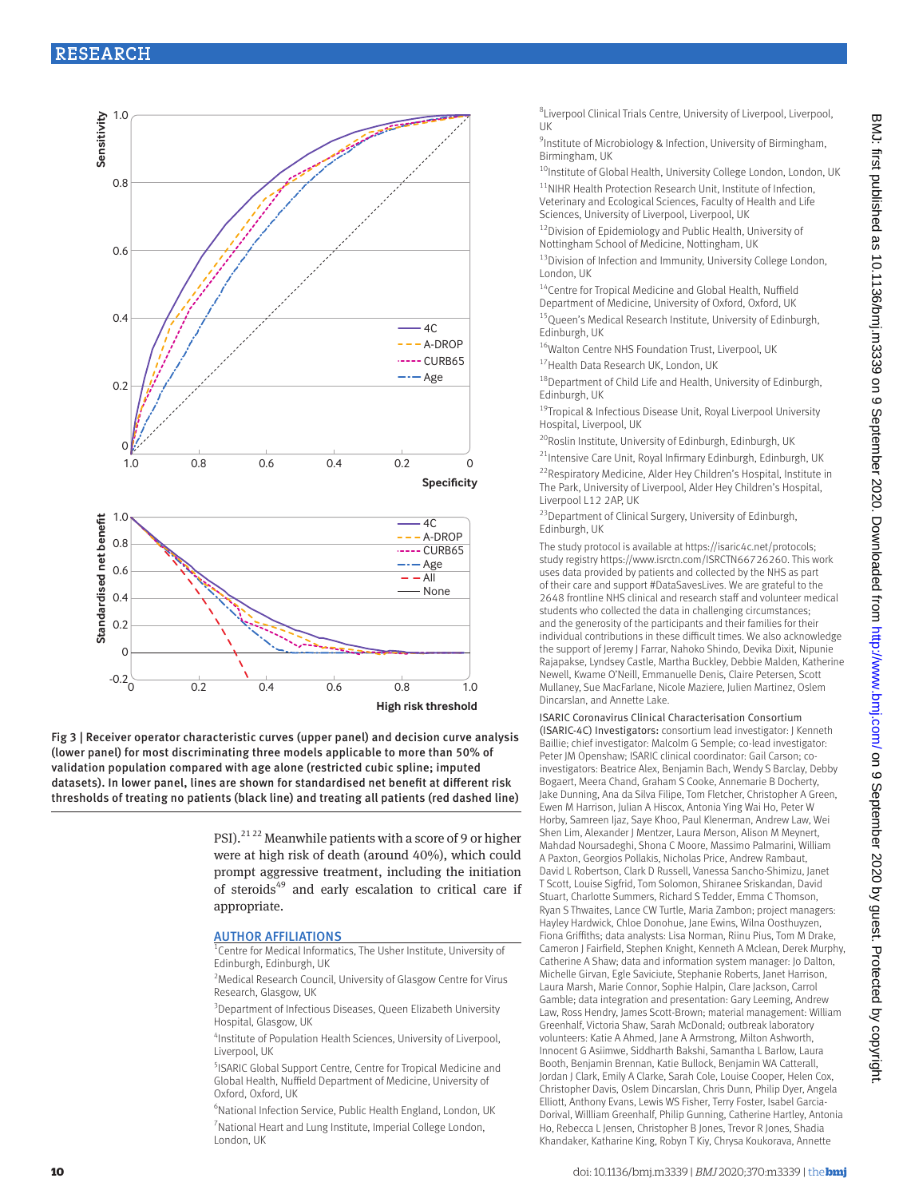# RESEARCH







PSI).<sup>21 22</sup> Meanwhile patients with a score of 9 or higher were at high risk of death (around 40%), which could prompt aggressive treatment, including the initiation of steroids<sup>49</sup> and early escalation to critical care if appropriate.

#### **AUTHOR AFFILIATIONS**

Centre for Medical Informatics, The Usher Institute, University of Edinburgh, Edinburgh, UK

<sup>2</sup> Medical Research Council, University of Glasgow Centre for Virus Research, Glasgow, UK

<sup>3</sup> Department of Infectious Diseases, Queen Elizabeth University Hospital, Glasgow, UK

4 Institute of Population Health Sciences, University of Liverpool, Liverpool, UK

5 ISARIC Global Support Centre, Centre for Tropical Medicine and Global Health, Nuffield Department of Medicine, University of Oxford, Oxford, UK

6 National Infection Service, Public Health England, London, UK <sup>7</sup> National Heart and Lung Institute, Imperial College London, London, UK

8 Liverpool Clinical Trials Centre, University of Liverpool, Liverpool,  $\overline{U}$ 

9 Institute of Microbiology & Infection, University of Birmingham, Birmingham, UK

<sup>10</sup>Institute of Global Health, University College London, London, UK

<sup>11</sup>NIHR Health Protection Research Unit, Institute of Infection, Veterinary and Ecological Sciences, Faculty of Health and Life Sciences, University of Liverpool, Liverpool, UK

12Division of Epidemiology and Public Health, University of Nottingham School of Medicine, Nottingham, UK

<sup>13</sup> Division of Infection and Immunity, University College London, London, UK

14Centre for Tropical Medicine and Global Health, Nuffield Department of Medicine, University of Oxford, Oxford, UK

<sup>15</sup> Queen's Medical Research Institute, University of Edinburgh, Edinburgh, UK

<sup>16</sup>Walton Centre NHS Foundation Trust, Liverpool, UK

17 Health Data Research UK, London, UK

18Department of Child Life and Health, University of Edinburgh, Edinburgh, UK

<sup>19</sup>Tropical & Infectious Disease Unit, Royal Liverpool University Hospital, Liverpool, UK

<sup>20</sup>Roslin Institute, University of Edinburgh, Edinburgh, UK

<sup>21</sup>Intensive Care Unit, Royal Infirmary Edinburgh, Edinburgh, UK <sup>22</sup> Respiratory Medicine, Alder Hey Children's Hospital, Institute in The Park, University of Liverpool, Alder Hey Children's Hospital, Liverpool L12 2AP, UK

23Department of Clinical Surgery, University of Edinburgh, Edinburgh, UK

The study protocol is available at<https://isaric4c.net/protocols>; study registry [https://www.isrctn.com/ISRCTN66726260.](https://www.isrctn.com/ISRCTN66726260) This work uses data provided by patients and collected by the NHS as part of their care and support #DataSavesLives. We are grateful to the 2648 frontline NHS clinical and research staff and volunteer medical students who collected the data in challenging circumstances; and the generosity of the participants and their families for their individual contributions in these difficult times. We also acknowledge the support of Jeremy J Farrar, Nahoko Shindo, Devika Dixit, Nipunie Rajapakse, Lyndsey Castle, Martha Buckley, Debbie Malden, Katherine Newell, Kwame O'Neill, Emmanuelle Denis, Claire Petersen, Scott Mullaney, Sue MacFarlane, Nicole Maziere, Julien Martinez, Oslem Dincarslan, and Annette Lake.

ISARIC Coronavirus Clinical Characterisation Consortium (ISARIC-4C) Investigators: consortium lead investigator: J Kenneth Baillie; chief investigator: Malcolm G Semple; co-lead investigator: Peter JM Openshaw; ISARIC clinical coordinator: Gail Carson; coinvestigators: Beatrice Alex, Benjamin Bach, Wendy S Barclay, Debby Bogaert, Meera Chand, Graham S Cooke, Annemarie B Docherty, Jake Dunning, Ana da Silva Filipe, Tom Fletcher, Christopher A Green, Ewen M Harrison, Julian A Hiscox, Antonia Ying Wai Ho, Peter W Horby, Samreen Ijaz, Saye Khoo, Paul Klenerman, Andrew Law, Wei Shen Lim, Alexander J Mentzer, Laura Merson, Alison M Meynert, Mahdad Noursadeghi, Shona C Moore, Massimo Palmarini, William A Paxton, Georgios Pollakis, Nicholas Price, Andrew Rambaut, David L Robertson, Clark D Russell, Vanessa Sancho-Shimizu, Janet T Scott, Louise Sigfrid, Tom Solomon, Shiranee Sriskandan, David Stuart, Charlotte Summers, Richard S Tedder, Emma C Thomson, Ryan S Thwaites, Lance CW Turtle, Maria Zambon; project managers: Hayley Hardwick, Chloe Donohue, Jane Ewins, Wilna Oosthuyzen, Fiona Griffiths; data analysts: Lisa Norman, Riinu Pius, Tom M Drake, Cameron J Fairfield, Stephen Knight, Kenneth A Mclean, Derek Murphy, Catherine A Shaw; data and information system manager: Jo Dalton, Michelle Girvan, Egle Saviciute, Stephanie Roberts, Janet Harrison, Laura Marsh, Marie Connor, Sophie Halpin, Clare Jackson, Carrol Gamble; data integration and presentation: Gary Leeming, Andrew Law, Ross Hendry, James Scott-Brown; material management: William Greenhalf, Victoria Shaw, Sarah McDonald; outbreak laboratory volunteers: Katie A Ahmed, Jane A Armstrong, Milton Ashworth, Innocent G Asiimwe, Siddharth Bakshi, Samantha L Barlow, Laura Booth, Benjamin Brennan, Katie Bullock, Benjamin WA Catterall, Jordan J Clark, Emily A Clarke, Sarah Cole, Louise Cooper, Helen Cox, Christopher Davis, Oslem Dincarslan, Chris Dunn, Philip Dyer, Angela Elliott, Anthony Evans, Lewis WS Fisher, Terry Foster, Isabel Garcia-Dorival, Willliam Greenhalf, Philip Gunning, Catherine Hartley, Antonia Ho, Rebecca L Jensen, Christopher B Jones, Trevor R Jones, Shadia Khandaker, Katharine King, Robyn T Kiy, Chrysa Koukorava, Annette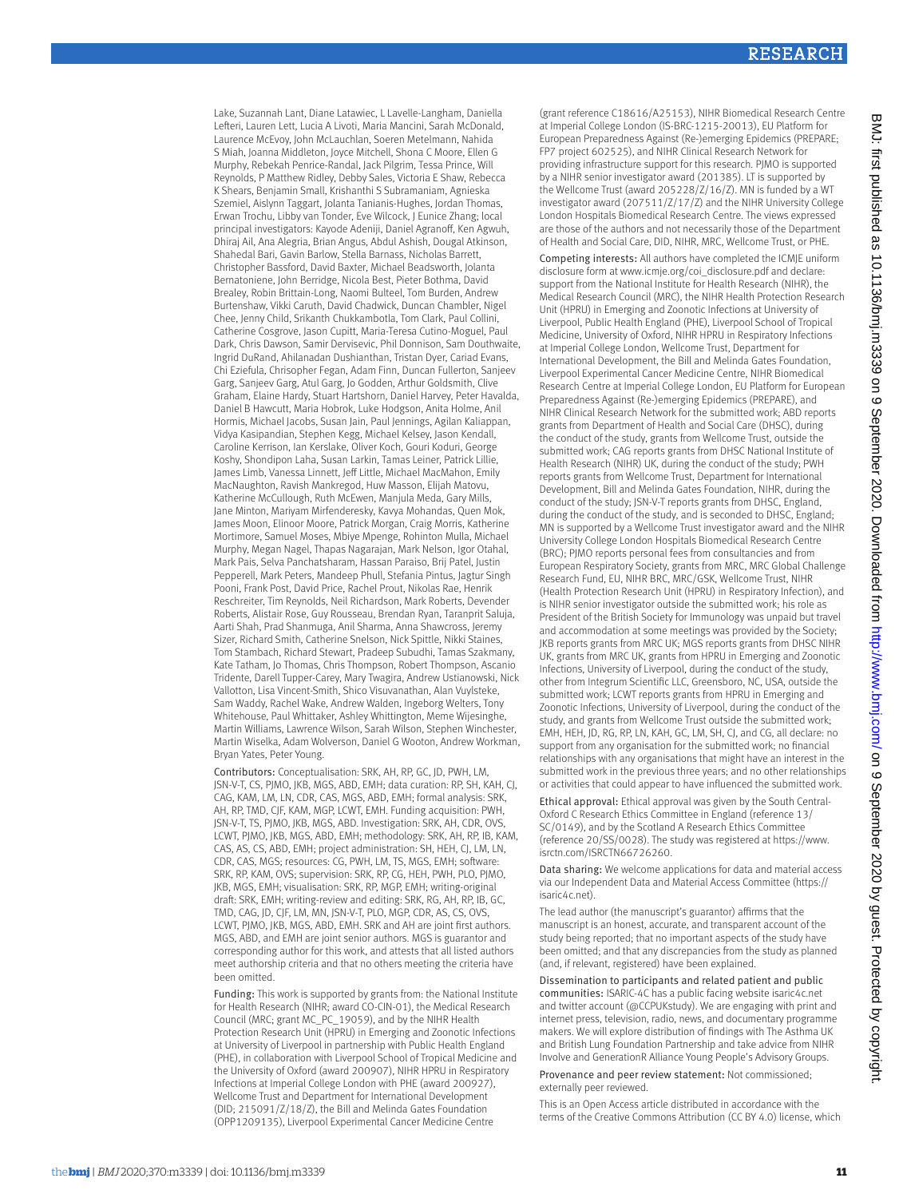Lake, Suzannah Lant, Diane Latawiec, L Lavelle-Langham, Daniella Lefteri, Lauren Lett, Lucia A Livoti, Maria Mancini, Sarah McDonald, Laurence McEvoy, John McLauchlan, Soeren Metelmann, Nahida S Miah, Joanna Middleton, Joyce Mitchell, Shona C Moore, Ellen G Murphy, Rebekah Penrice-Randal, Jack Pilgrim, Tessa Prince, Will Reynolds, P Matthew Ridley, Debby Sales, Victoria E Shaw, Rebecca K Shears, Benjamin Small, Krishanthi S Subramaniam, Agnieska Szemiel, Aislynn Taggart, Jolanta Tanianis-Hughes, Jordan Thomas, Erwan Trochu, Libby van Tonder, Eve Wilcock, J Eunice Zhang; local principal investigators: Kayode Adeniji, Daniel Agranoff, Ken Agwuh, Dhiraj Ail, Ana Alegria, Brian Angus, Abdul Ashish, Dougal Atkinson, Shahedal Bari, Gavin Barlow, Stella Barnass, Nicholas Barrett, Christopher Bassford, David Baxter, Michael Beadsworth, Jolanta Bernatoniene, John Berridge, Nicola Best, Pieter Bothma, David Brealey, Robin Brittain-Long, Naomi Bulteel, Tom Burden, Andrew Burtenshaw, Vikki Caruth, David Chadwick, Duncan Chambler, Nigel Chee, Jenny Child, Srikanth Chukkambotla, Tom Clark, Paul Collini, Catherine Cosgrove, Jason Cupitt, Maria-Teresa Cutino-Moguel, Paul Dark, Chris Dawson, Samir Dervisevic, Phil Donnison, Sam Douthwaite, Ingrid DuRand, Ahilanadan Dushianthan, Tristan Dyer, Cariad Evans, Chi Eziefula, Chrisopher Fegan, Adam Finn, Duncan Fullerton, Sanjeev Garg, Sanjeev Garg, Atul Garg, Jo Godden, Arthur Goldsmith, Clive Graham, Elaine Hardy, Stuart Hartshorn, Daniel Harvey, Peter Havalda, Daniel B Hawcutt, Maria Hobrok, Luke Hodgson, Anita Holme, Anil Hormis, Michael Jacobs, Susan Jain, Paul Jennings, Agilan Kaliappan, Vidya Kasipandian, Stephen Kegg, Michael Kelsey, Jason Kendall, Caroline Kerrison, Ian Kerslake, Oliver Koch, Gouri Koduri, George Koshy, Shondipon Laha, Susan Larkin, Tamas Leiner, Patrick Lillie, James Limb, Vanessa Linnett, Jeff Little, Michael MacMahon, Emily MacNaughton, Ravish Mankregod, Huw Masson, Elijah Matovu, Katherine McCullough, Ruth McEwen, Manjula Meda, Gary Mills, Jane Minton, Mariyam Mirfenderesky, Kavya Mohandas, Quen Mok, James Moon, Elinoor Moore, Patrick Morgan, Craig Morris, Katherine Mortimore, Samuel Moses, Mbiye Mpenge, Rohinton Mulla, Michael Murphy, Megan Nagel, Thapas Nagarajan, Mark Nelson, Igor Otahal, Mark Pais, Selva Panchatsharam, Hassan Paraiso, Brij Patel, Justin Pepperell, Mark Peters, Mandeep Phull, Stefania Pintus, Jagtur Singh Pooni, Frank Post, David Price, Rachel Prout, Nikolas Rae, Henrik Reschreiter, Tim Reynolds, Neil Richardson, Mark Roberts, Devender Roberts, Alistair Rose, Guy Rousseau, Brendan Ryan, Taranprit Saluja, Aarti Shah, Prad Shanmuga, Anil Sharma, Anna Shawcross, Jeremy Sizer, Richard Smith, Catherine Snelson, Nick Spittle, Nikki Staines, Tom Stambach, Richard Stewart, Pradeep Subudhi, Tamas Szakmany, Kate Tatham, Jo Thomas, Chris Thompson, Robert Thompson, Ascanio Tridente, Darell Tupper-Carey, Mary Twagira, Andrew Ustianowski, Nick Vallotton, Lisa Vincent-Smith, Shico Visuvanathan, Alan Vuylsteke, Sam Waddy, Rachel Wake, Andrew Walden, Ingeborg Welters, Tony Whitehouse, Paul Whittaker, Ashley Whittington, Meme Wijesinghe, Martin Williams, Lawrence Wilson, Sarah Wilson, Stephen Winchester, Martin Wiselka, Adam Wolverson, Daniel G Wooton, Andrew Workman, Bryan Yates, Peter Young.

Contributors: Conceptualisation: SRK, AH, RP, GC, JD, PWH, LM, JSN-V-T, CS, PJMO, JKB, MGS, ABD, EMH; data curation: RP, SH, KAH, CJ, CAG, KAM, LM, LN, CDR, CAS, MGS, ABD, EMH; formal analysis: SRK, AH, RP, TMD, CJF, KAM, MGP, LCWT, EMH. Funding acquisition: PWH, JSN-V-T, TS, PJMO, JKB, MGS, ABD. Investigation: SRK, AH, CDR, OVS, LCWT, PJMO, JKB, MGS, ABD, EMH; methodology: SRK, AH, RP, IB, KAM, CAS, AS, CS, ABD, EMH; project administration: SH, HEH, CJ, LM, LN, CDR, CAS, MGS; resources: CG, PWH, LM, TS, MGS, EMH; software: SRK, RP, KAM, OVS; supervision: SRK, RP, CG, HEH, PWH, PLO, PJMO, JKB, MGS, EMH; visualisation: SRK, RP, MGP, EMH; writing-original draft: SRK, EMH; writing-review and editing: SRK, RG, AH, RP, IB, GC, TMD, CAG, JD, CJF, LM, MN, JSN-V-T, PLO, MGP, CDR, AS, CS, OVS, LCWT, PJMO, JKB, MGS, ABD, EMH. SRK and AH are joint first authors. MGS, ABD, and EMH are joint senior authors. MGS is guarantor and corresponding author for this work, and attests that all listed authors meet authorship criteria and that no others meeting the criteria have been omitted.

Funding: This work is supported by grants from: the National Institute for Health Research (NIHR; award CO-CIN-01), the Medical Research Council (MRC; grant MC\_PC\_19059), and by the NIHR Health Protection Research Unit (HPRU) in Emerging and Zoonotic Infections at University of Liverpool in partnership with Public Health England (PHE), in collaboration with Liverpool School of Tropical Medicine and the University of Oxford (award 200907), NIHR HPRU in Respiratory Infections at Imperial College London with PHE (award 200927), Wellcome Trust and Department for International Development (DID; 215091/Z/18/Z), the Bill and Melinda Gates Foundation (OPP1209135), Liverpool Experimental Cancer Medicine Centre

(grant reference C18616/A25153), NIHR Biomedical Research Centre at Imperial College London (IS-BRC-1215-20013), EU Platform for European Preparedness Against (Re-)emerging Epidemics (PREPARE; FP7 project 602525), and NIHR Clinical Research Network for providing infrastructure support for this research. PJMO is supported by a NIHR senior investigator award (201385). LT is supported by the Wellcome Trust (award 205228/Z/16/Z). MN is funded by a WT investigator award (207511/Z/17/Z) and the NIHR University College London Hospitals Biomedical Research Centre. The views expressed are those of the authors and not necessarily those of the Department of Health and Social Care, DID, NIHR, MRC, Wellcome Trust, or PHE.

Competing interests: All authors have completed the ICMJE uniform disclosure form at [www.icmje.org/coi\\_disclosure.pdf](http://www.icmje.org/coi_disclosure.pdf) and declare: support from the National Institute for Health Research (NIHR), the Medical Research Council (MRC), the NIHR Health Protection Research Unit (HPRU) in Emerging and Zoonotic Infections at University of Liverpool, Public Health England (PHE), Liverpool School of Tropical Medicine, University of Oxford, NIHR HPRU in Respiratory Infections at Imperial College London, Wellcome Trust, Department for International Development, the Bill and Melinda Gates Foundation, Liverpool Experimental Cancer Medicine Centre, NIHR Biomedical Research Centre at Imperial College London, EU Platform for European Preparedness Against (Re-)emerging Epidemics (PREPARE), and NIHR Clinical Research Network for the submitted work; ABD reports grants from Department of Health and Social Care (DHSC), during the conduct of the study, grants from Wellcome Trust, outside the submitted work; CAG reports grants from DHSC National Institute of Health Research (NIHR) UK, during the conduct of the study; PWH reports grants from Wellcome Trust, Department for International Development, Bill and Melinda Gates Foundation, NIHR, during the conduct of the study; JSN-V-T reports grants from DHSC, England, during the conduct of the study, and is seconded to DHSC, England; MN is supported by a Wellcome Trust investigator award and the NIHR University College London Hospitals Biomedical Research Centre (BRC); PJMO reports personal fees from consultancies and from European Respiratory Society, grants from MRC, MRC Global Challenge Research Fund, EU, NIHR BRC, MRC/GSK, Wellcome Trust, NIHR (Health Protection Research Unit (HPRU) in Respiratory Infection), and is NIHR senior investigator outside the submitted work; his role as President of the British Society for Immunology was unpaid but travel and accommodation at some meetings was provided by the Society; JKB reports grants from MRC UK; MGS reports grants from DHSC NIHR UK, grants from MRC UK, grants from HPRU in Emerging and Zoonotic Infections, University of Liverpool, during the conduct of the study, other from Integrum Scientific LLC, Greensboro, NC, USA, outside the submitted work; LCWT reports grants from HPRU in Emerging and Zoonotic Infections, University of Liverpool, during the conduct of the study, and grants from Wellcome Trust outside the submitted work; EMH, HEH, JD, RG, RP, LN, KAH, GC, LM, SH, CJ, and CG, all declare: no support from any organisation for the submitted work; no financial relationships with any organisations that might have an interest in the submitted work in the previous three years; and no other relationships or activities that could appear to have influenced the submitted work.

Ethical approval: Ethical approval was given by the South Central-Oxford C Research Ethics Committee in England (reference 13/ SC/0149), and by the Scotland A Research Ethics Committee (reference 20/SS/0028). The study was registered at [https://www.](https://www.isrctn.com/ISRCTN66726260) [isrctn.com/ISRCTN66726260](https://www.isrctn.com/ISRCTN66726260).

Data sharing: We welcome applications for data and material access via our Independent Data and Material Access Committee ([https://](https://isaric4c.net) [isaric4c.net\)](https://isaric4c.net).

The lead author (the manuscript's guarantor) affirms that the manuscript is an honest, accurate, and transparent account of the study being reported; that no important aspects of the study have been omitted; and that any discrepancies from the study as planned (and, if relevant, registered) have been explained.

Dissemination to participants and related patient and public communities: ISARIC-4C has a public facing website isaric4c.net and twitter account (@CCPUKstudy). We are engaging with print and internet press, television, radio, news, and documentary programme makers. We will explore distribution of findings with The Asthma UK and British Lung Foundation Partnership and take advice from NIHR Involve and GenerationR Alliance Young People's Advisory Groups.

Provenance and peer review statement: Not commissioned; externally peer reviewed.

This is an Open Access article distributed in accordance with the terms of the Creative Commons Attribution (CC BY 4.0) license, which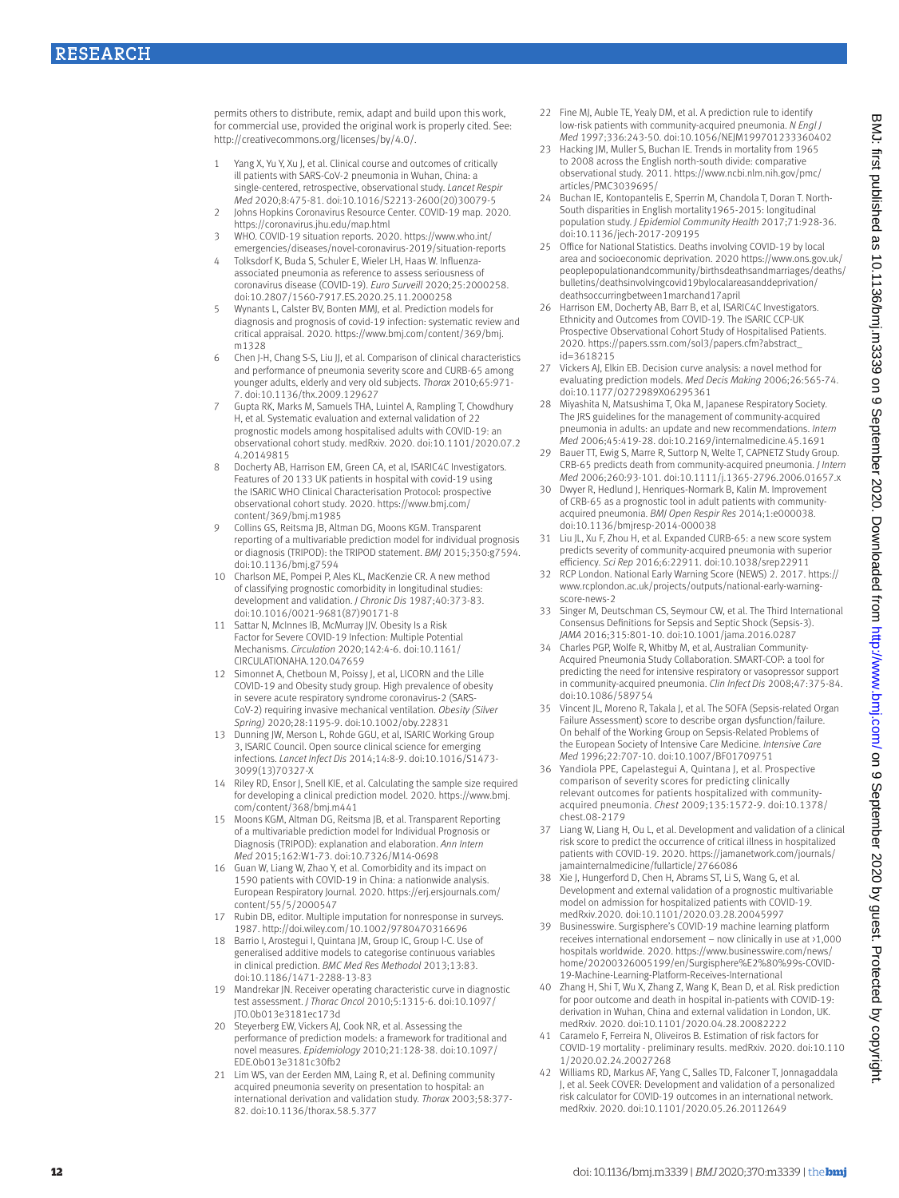permits others to distribute, remix, adapt and build upon this work, for commercial use, provided the original work is properly cited. See: [http://creativecommons.org/licenses/by/4.0/.](http://creativecommons.org/licenses/by/4.0/)

- Yang X, Yu Y, Xu J, et al. Clinical course and outcomes of critically ill patients with SARS-CoV-2 pneumonia in Wuhan, China: a single-centered, retrospective, observational study. *Lancet Respir Med* 2020;8:475-81. doi:10.1016/S2213-2600(20)30079-5
- 2 Johns Hopkins Coronavirus Resource Center. COVID-19 map. 2020. <https://coronavirus.jhu.edu/map.html>
- 3 WHO. COVID-19 situation reports. 2020. [https://www.who.int/](https://www.who.int/emergencies/diseases/novel-coronavirus-2019/situation-reports) [emergencies/diseases/novel-coronavirus-2019/situation-reports](https://www.who.int/emergencies/diseases/novel-coronavirus-2019/situation-reports)
- 4 Tolksdorf K, Buda S, Schuler E, Wieler LH, Haas W. Influenzaassociated pneumonia as reference to assess seriousness of coronavirus disease (COVID-19). *Euro Surveill* 2020;25:2000258. doi:10.2807/1560-7917.ES.2020.25.11.2000258
- 5 Wynants L, Calster BV, Bonten MMJ, et al. Prediction models for diagnosis and prognosis of covid-19 infection: systematic review and critical appraisal. 2020. [https://www.bmj.com/content/369/bmj.](https://www.bmj.com/content/369/bmj.m1328) [m1328](https://www.bmj.com/content/369/bmj.m1328)
- 6 Chen J-H, Chang S-S, Liu JJ, et al. Comparison of clinical characteristics and performance of pneumonia severity score and CURB-65 among younger adults, elderly and very old subjects. *Thorax* 2010;65:971- 7. doi:10.1136/thx.2009.129627
- 7 Gupta RK, Marks M, Samuels THA, Luintel A, Rampling T, Chowdhury H, et al. Systematic evaluation and external validation of 22 prognostic models among hospitalised adults with COVID-19: an observational cohort study. medRxiv. 2020. doi:10.1101/2020.07.2 4.20149815
- 8 Docherty AB, Harrison EM, Green CA, et al, ISARIC4C Investigators. Features of 20133 UK patients in hospital with covid-19 using the ISARIC WHO Clinical Characterisation Protocol: prospective observational cohort study. 2020. [https://www.bmj.com/](https://www.bmj.com/content/369/bmj.m1985) [content/369/bmj.m1985](https://www.bmj.com/content/369/bmj.m1985)
- 9 Collins GS, Reitsma JB, Altman DG, Moons KGM. Transparent reporting of a multivariable prediction model for individual prognosis or diagnosis (TRIPOD): the TRIPOD statement. *BMJ* 2015;350:g7594. doi:10.1136/bmj.g7594
- 10 Charlson ME, Pompei P, Ales KL, MacKenzie CR. A new method of classifying prognostic comorbidity in longitudinal studies: development and validation. *J Chronic Dis* 1987;40:373-83. doi:10.1016/0021-9681(87)90171-8
- 11 Sattar N, McInnes IB, McMurray JJV. Obesity Is a Risk Factor for Severe COVID-19 Infection: Multiple Potential Mechanisms. *Circulation* 2020;142:4-6. doi:10.1161/ CIRCULATIONAHA.120.047659
- 12 Simonnet A, Chetboun M, Poissy J, et al, LICORN and the Lille COVID-19 and Obesity study group. High prevalence of obesity in severe acute respiratory syndrome coronavirus-2 (SARS-CoV-2) requiring invasive mechanical ventilation. *Obesity (Silver Spring)* 2020;28:1195-9. doi:10.1002/oby.22831
- 13 Dunning JW, Merson L, Rohde GGU, et al, ISARIC Working Group 3, ISARIC Council. Open source clinical science for emerging infections. *Lancet Infect Dis* 2014;14:8-9. doi:10.1016/S1473- 3099(13)70327-X
- Riley RD, Ensor J, Snell KIE, et al. Calculating the sample size required for developing a clinical prediction model. 2020. [https://www.bmj.](https://www.bmj.com/content/368/bmj.m441) [com/content/368/bmj.m441](https://www.bmj.com/content/368/bmj.m441)
- 15 Moons KGM, Altman DG, Reitsma JB, et al. Transparent Reporting of a multivariable prediction model for Individual Prognosis or Diagnosis (TRIPOD): explanation and elaboration. *Ann Intern Med* 2015;162:W1-73. doi:10.7326/M14-0698
- 16 Guan W, Liang W, Zhao Y, et al. Comorbidity and its impact on 1590 patients with COVID-19 in China: a nationwide analysis. European Respiratory Journal. 2020. [https://erj.ersjournals.com/](https://erj.ersjournals.com/content/55/5/2000547) [content/55/5/2000547](https://erj.ersjournals.com/content/55/5/2000547)
- 17 Rubin DB, editor. Multiple imputation for nonresponse in surveys. 1987. http://doi.wiley.com/10.1002/9780470316696
- 18 Barrio I, Arostegui I, Quintana JM, Group IC, Group I-C. Use of generalised additive models to categorise continuous variables in clinical prediction. *BMC Med Res Methodol* 2013;13:83. doi:10.1186/1471-2288-13-83
- 19 Mandrekar JN. Receiver operating characteristic curve in diagnostic test assessment. *J Thorac Oncol* 2010;5:1315-6. doi:10.1097/ JTO.0b013e3181ec173d
- 20 Steyerberg EW, Vickers AJ, Cook NR, et al. Assessing the performance of prediction models: a framework for traditional and novel measures. *Epidemiology* 2010;21:128-38. doi:10.1097/ EDE.0b013e3181c30fb2
- 21 Lim WS, van der Eerden MM, Laing R, et al. Defining community acquired pneumonia severity on presentation to hospital: an international derivation and validation study. *Thorax* 2003;58:377- 82. doi:10.1136/thorax.58.5.377
- 22 Fine MJ, Auble TE, Yealy DM, et al. A prediction rule to identify low-risk patients with community-acquired pneumonia. *N Engl J Med* 1997;336:243-50. doi:10.1056/NEJM199701233360402
- 23 Hacking JM, Muller S, Buchan JF, Trends in mortality from 1965 to 2008 across the English north-south divide: comparative observational study. 2011. [https://www.ncbi.nlm.nih.gov/pmc/](https://www.ncbi.nlm.nih.gov/pmc/articles/PMC3039695/) [articles/PMC3039695/](https://www.ncbi.nlm.nih.gov/pmc/articles/PMC3039695/)
- 24 Buchan IE, Kontopantelis E, Sperrin M, Chandola T, Doran T. North-South disparities in English mortality1965-2015: longitudinal population study. *J Epidemiol Community Health* 2017;71:928-36. doi:10.1136/jech-2017-209195
- 25 Office for National Statistics. Deaths involving COVID-19 by local area and socioeconomic deprivation. 2020 [https://www.ons.gov.uk/](https://www.ons.gov.uk/peoplepopulationandcommunity/birthsdeathsandmarriages/deaths/bulletins/deathsinvolvingcovid19bylocalareasanddeprivation/deathsoccurringbetween1marchand17april) [peoplepopulationandcommunity/birthsdeathsandmarriages/deaths/](https://www.ons.gov.uk/peoplepopulationandcommunity/birthsdeathsandmarriages/deaths/bulletins/deathsinvolvingcovid19bylocalareasanddeprivation/deathsoccurringbetween1marchand17april) [bulletins/deathsinvolvingcovid19bylocalareasanddeprivation/](https://www.ons.gov.uk/peoplepopulationandcommunity/birthsdeathsandmarriages/deaths/bulletins/deathsinvolvingcovid19bylocalareasanddeprivation/deathsoccurringbetween1marchand17april) [deathsoccurringbetween1marchand17april](https://www.ons.gov.uk/peoplepopulationandcommunity/birthsdeathsandmarriages/deaths/bulletins/deathsinvolvingcovid19bylocalareasanddeprivation/deathsoccurringbetween1marchand17april)
- Harrison EM, Docherty AB, Barr B, et al, ISARIC4C Investigators. Ethnicity and Outcomes from COVID-19. The ISARIC CCP-UK Prospective Observational Cohort Study of Hospitalised Patients. 2020. [https://papers.ssrn.com/sol3/papers.cfm?abstract\\_](https://papers.ssrn.com/sol3/papers.cfm?abstract_id=3618215) [id=3618215](https://papers.ssrn.com/sol3/papers.cfm?abstract_id=3618215)
- 27 Vickers AJ, Elkin EB. Decision curve analysis: a novel method for evaluating prediction models. *Med Decis Making* 2006;26:565-74. doi:10.1177/0272989X06295361
- 28 Miyashita N, Matsushima T, Oka M, Japanese Respiratory Society. The JRS guidelines for the management of community-acquired pneumonia in adults: an update and new recommendations. *Intern Med* 2006;45:419-28. doi:10.2169/internalmedicine.45.1691
- 29 Bauer TT, Ewig S, Marre R, Suttorp N, Welte T, CAPNETZ Study Group. CRB-65 predicts death from community-acquired pneumonia. *J Intern Med* 2006;260:93-101. doi:10.1111/j.1365-2796.2006.01657.x
- 30 Dwyer R, Hedlund J, Henriques-Normark B, Kalin M. Improvement of CRB-65 as a prognostic tool in adult patients with communityacquired pneumonia. *BMJ Open Respir Res* 2014;1:e000038. doi:10.1136/bmjresp-2014-000038
- 31 Liu JL, Xu F, Zhou H, et al. Expanded CURB-65: a new score system predicts severity of community-acquired pneumonia with superior efficiency. *Sci Rep* 2016;6:22911. doi:10.1038/srep22911
- 32 RCP London. National Early Warning Score (NEWS) 2. 2017. [https://](https://www.rcplondon.ac.uk/projects/outputs/national-early-warning-score-news-2) [www.rcplondon.ac.uk/projects/outputs/national-early-warning](https://www.rcplondon.ac.uk/projects/outputs/national-early-warning-score-news-2)[score-news-2](https://www.rcplondon.ac.uk/projects/outputs/national-early-warning-score-news-2)
- 33 Singer M, Deutschman CS, Seymour CW, et al. The Third International Consensus Definitions for Sepsis and Septic Shock (Sepsis-3). *JAMA* 2016;315:801-10. doi:10.1001/jama.2016.0287
- Charles PGP, Wolfe R, Whitby M, et al, Australian Community Acquired Pneumonia Study Collaboration. SMART-COP: a tool for predicting the need for intensive respiratory or vasopressor support in community-acquired pneumonia. *Clin Infect Dis* 2008;47:375-84. doi:10.1086/589754
- 35 Vincent JL, Moreno R, Takala J, et al. The SOFA (Sepsis-related Organ Failure Assessment) score to describe organ dysfunction/failure. On behalf of the Working Group on Sepsis-Related Problems of the European Society of Intensive Care Medicine. *Intensive Care Med* 1996;22:707-10. doi:10.1007/BF01709751
- 36 Yandiola PPE, Capelastegui A, Quintana J, et al. Prospective comparison of severity scores for predicting clinically relevant outcomes for patients hospitalized with communityacquired pneumonia. *Chest* 2009;135:1572-9. doi:10.1378/ chest.08-2179
- 37 Liang W, Liang H, Ou L, et al. Development and validation of a clinical risk score to predict the occurrence of critical illness in hospitalized patients with COVID-19. 2020. [https://jamanetwork.com/journals/](https://jamanetwork.com/journals/jamainternalmedicine/fullarticle/2766086) [jamainternalmedicine/fullarticle/2766086](https://jamanetwork.com/journals/jamainternalmedicine/fullarticle/2766086)
- 38 Xie J, Hungerford D, Chen H, Abrams ST, Li S, Wang G, et al. Development and external validation of a prognostic multivariable model on admission for hospitalized patients with COVID-19. medRxiv.2020. doi:10.1101/2020.03.28.20045997
- 39 Businesswire. Surgisphere's COVID-19 machine learning platform receives international endorsement – now clinically in use at >1,000 hospitals worldwide. 2020. [https://www.businesswire.com/news/](https://www.businesswire.com/news/home/20200326005199/en/Surgisphere%E2%80%99s-COVID-19-Machine-Learning-Platform-Receives-International) [home/20200326005199/en/Surgisphere%E2%80%99s-COVID-](https://www.businesswire.com/news/home/20200326005199/en/Surgisphere%E2%80%99s-COVID-19-Machine-Learning-Platform-Receives-International)[19-Machine-Learning-Platform-Receives-International](https://www.businesswire.com/news/home/20200326005199/en/Surgisphere%E2%80%99s-COVID-19-Machine-Learning-Platform-Receives-International)
- 40 Zhang H, Shi T, Wu X, Zhang Z, Wang K, Bean D, et al. Risk prediction for poor outcome and death in hospital in-patients with COVID-19: derivation in Wuhan, China and external validation in London, UK. medRxiv. 2020. doi:10.1101/2020.04.28.20082222
- 41 Caramelo F, Ferreira N, Oliveiros B. Estimation of risk factors for COVID-19 mortality - preliminary results. medRxiv. 2020. doi:10.110 1/2020.02.24.20027268
- 42 Williams RD, Markus AF, Yang C, Salles TD, Falconer T, Jonnagaddala J, et al. Seek COVER: Development and validation of a personalized risk calculator for COVID-19 outcomes in an international network. medRxiv. 2020. doi:10.1101/2020.05.26.20112649